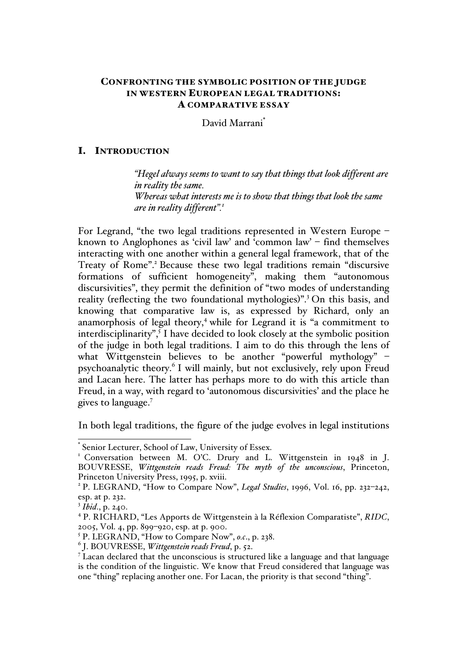# CONFRONTING THE SYMBOLIC POSITION OF THE JUDGE IN WESTERN EUROPEAN LEGAL TRADITIONS: A COMPARATIVE ESSAY

David Marrani\*

### I. INTRODUCTION

*"Hegel always seems to want to say that things that look different are in reality the same. Whereas what interests me is to show that things that look the same are in reality different".1*

For Legrand, "the two legal traditions represented in Western Europe – known to Anglophones as 'civil law' and 'common law' – find themselves interacting with one another within a general legal framework, that of the Treaty of Rome".<sup>2</sup> Because these two legal traditions remain "discursive" formations of sufficient homogeneity", making them "autonomous discursivities", they permit the definition of "two modes of understanding reality (reflecting the two foundational mythologies)".<sup>3</sup> On this basis, and knowing that comparative law is, as expressed by Richard, only an anamorphosis of legal theory,<sup>4</sup> while for Legrand it is "a commitment to interdisciplinarity",  $\overline{5}$  I have decided to look closely at the symbolic position of the judge in both legal traditions. I aim to do this through the lens of what Wittgenstein believes to be another "powerful mythology" psychoanalytic theory.<sup>6</sup> I will mainly, but not exclusively, rely upon Freud and Lacan here. The latter has perhaps more to do with this article than Freud, in a way, with regard to 'autonomous discursivities' and the place he gives to language.7

In both legal traditions, the figure of the judge evolves in legal institutions

Senior Lecturer, School of Law, University of Essex.

<sup>&</sup>lt;sup>1</sup> Conversation between M. O'C. Drury and L. Wittgenstein in 1948 in J. BOUVRESSE, *Wittgenstein reads Freud: The myth of the unconscious*, Princeton, Princeton University Press, 1995, p. xviii.

<sup>2</sup> P. LEGRAND, "How to Compare Now", *Legal Studies*, 1996, Vol. 16, pp. 232–242, esp. at p. 232.

<sup>3</sup> *Ibid*., p. 240.

<sup>4</sup> P. RICHARD, "Les Apports de Wittgenstein à la Réflexion Comparatiste", *RIDC*, 2005, Vol. 4, pp. 899–920, esp. at p. 900.

<sup>5</sup> P. LEGRAND, "How to Compare Now", *o.c*., p. 238.

<sup>6</sup> J. BOUVRESSE, *Wittgenstein reads Freud*, p. 52.

<sup>7</sup> Lacan declared that the unconscious is structured like a language and that language is the condition of the linguistic. We know that Freud considered that language was one "thing" replacing another one. For Lacan, the priority is that second "thing".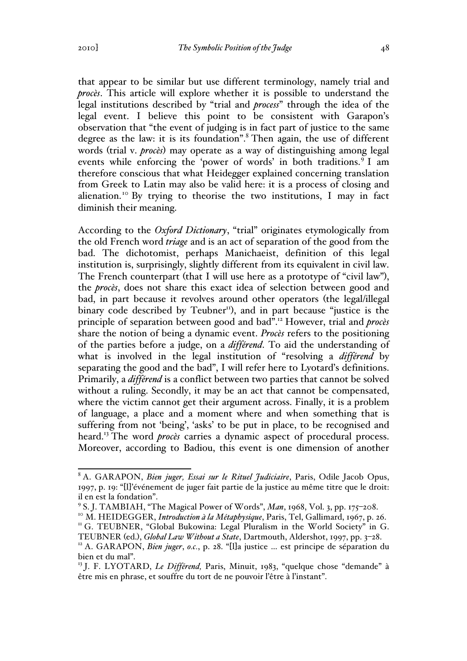that appear to be similar but use different terminology, namely trial and *procès*. This article will explore whether it is possible to understand the legal institutions described by "trial and *process*" through the idea of the legal event. I believe this point to be consistent with Garapon's observation that "the event of judging is in fact part of justice to the same degree as the law: it is its foundation".<sup>8</sup> Then again, the use of different words (trial v. *procès*) may operate as a way of distinguishing among legal events while enforcing the 'power of words' in both traditions.<sup>9</sup> I am therefore conscious that what Heidegger explained concerning translation from Greek to Latin may also be valid here: it is a process of closing and alienation.<sup>10</sup> By trying to theorise the two institutions, I may in fact diminish their meaning.

According to the *Oxford Dictionary*, "trial" originates etymologically from the old French word *triage* and is an act of separation of the good from the bad. The dichotomist, perhaps Manichaeist, definition of this legal institution is, surprisingly, slightly different from its equivalent in civil law. The French counterpart (that I will use here as a prototype of "civil law"), the *procès*, does not share this exact idea of selection between good and bad, in part because it revolves around other operators (the legal/illegal binary code described by Teubner<sup>11</sup>), and in part because "justice is the principle of separation between good and bad".12 However, trial and *procès* share the notion of being a dynamic event. *Procès* refers to the positioning of the parties before a judge, on a *différend*. To aid the understanding of what is involved in the legal institution of "resolving a *différend* by separating the good and the bad", I will refer here to Lyotard's definitions. Primarily, a *différend* is a conflict between two parties that cannot be solved without a ruling. Secondly, it may be an act that cannot be compensated, where the victim cannot get their argument across. Finally, it is a problem of language, a place and a moment where and when something that is suffering from not 'being', 'asks' to be put in place, to be recognised and heard.<sup>13</sup> The word *procès* carries a dynamic aspect of procedural process. Moreover, according to Badiou, this event is one dimension of another

 <sup>8</sup> A. GARAPON, *Bien juger, Essai sur le Rituel Judiciaire*, Paris, Odile Jacob Opus, 1997, p. 19: "[l]'événement de juger fait partie de la justice au même titre que le droit: il en est la fondation".

<sup>&</sup>lt;sup>9</sup> S. J. TAMBIAH, "The Magical Power of Words", *Man*, 1968, Vol. 3, pp. 175–208.<br><sup>10</sup> M. HEIDEGGER, *Introduction à la Métaphysique*, Paris, Tel, Gallimard, 1967, p. 26.<br><sup>11</sup> G. TEUBNER, "Global Bukowina: Legal Pluralism

TEUBNER (ed.), *Global Law Without a State*, Dartmouth, Aldershot, 1997, pp. 3–28. <sup>12</sup> A. GARAPON, *Bien juger*, *o.c.*, p. 28. "[l]a justice … est principe de séparation du bien et du mal".

<sup>&</sup>lt;sup>13</sup> J. F. LYOTARD, *Le Différend*, Paris, Minuit, 1983, "quelque chose "demande" à être mis en phrase, et souffre du tort de ne pouvoir l'être à l'instant".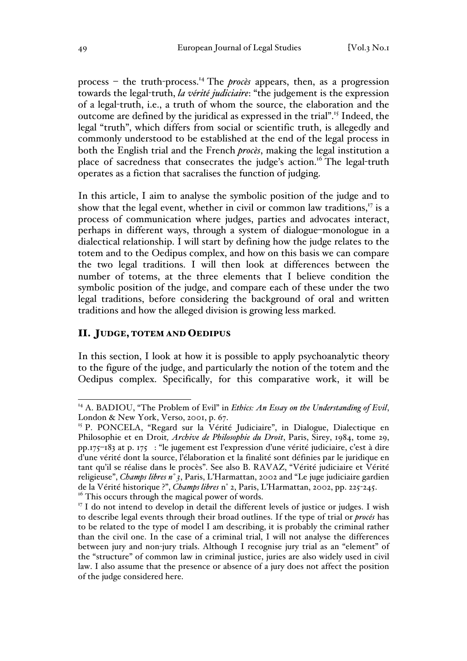process – the truth-process.14 The *procès* appears, then, as a progression towards the legal-truth, *la vérité judiciaire*: "the judgement is the expression of a legal-truth, i.e., a truth of whom the source, the elaboration and the outcome are defined by the juridical as expressed in the trial".15 Indeed, the legal "truth", which differs from social or scientific truth, is allegedly and commonly understood to be established at the end of the legal process in both the English trial and the French *procès*, making the legal institution a place of sacredness that consecrates the judge's action.<sup>16</sup> The legal-truth operates as a fiction that sacralises the function of judging.

In this article, I aim to analyse the symbolic position of the judge and to show that the legal event, whether in civil or common law traditions, $^{17}$  is a process of communication where judges, parties and advocates interact, perhaps in different ways, through a system of dialogue–monologue in a dialectical relationship. I will start by defining how the judge relates to the totem and to the Oedipus complex, and how on this basis we can compare the two legal traditions. I will then look at differences between the number of totems, at the three elements that I believe condition the symbolic position of the judge, and compare each of these under the two legal traditions, before considering the background of oral and written traditions and how the alleged division is growing less marked.

## II. JUDGE, TOTEM AND OEDIPUS

In this section, I look at how it is possible to apply psychoanalytic theory to the figure of the judge, and particularly the notion of the totem and the Oedipus complex. Specifically, for this comparative work, it will be

<sup>&</sup>lt;sup>14</sup> A. BADIOU, "The Problem of Evil" in *Ethics: An Essay on the Understanding of Evil*, London & New York, Verso, 2001, p. 67.

<sup>&</sup>lt;sup>15</sup> P. PONCELA, "Regard sur la Vérité Judiciaire", in Dialogue, Dialectique en Philosophie et en Droit*, Archive de Philosophie du Droit*, Paris, Sirey, 1984, tome 29, pp.175–183 at p. 175 : "le jugement est l'expression d'une vérité judiciaire, c'est à dire d'une vérité dont la source, l'élaboration et la finalité sont définies par le juridique en tant qu'il se réalise dans le procès". See also B. RAVAZ, "Vérité judiciaire et Vérité religieuse", *Champs libres n° 3*, Paris, L'Harmattan, 2002 and "Le juge judiciaire gardien de la Vérité historique ?", *Champs libres* n° 2, Paris, L'Harmattan, 2002, pp. 225-245. <sup>16</sup> This occurs through the magical power of words.

 $17$  I do not intend to develop in detail the different levels of justice or judges. I wish to describe legal events through their broad outlines. If the type of trial or *procés* has to be related to the type of model I am describing, it is probably the criminal rather than the civil one. In the case of a criminal trial, I will not analyse the differences between jury and non-jury trials. Although I recognise jury trial as an "element" of the "structure" of common law in criminal justice, juries are also widely used in civil law. I also assume that the presence or absence of a jury does not affect the position of the judge considered here.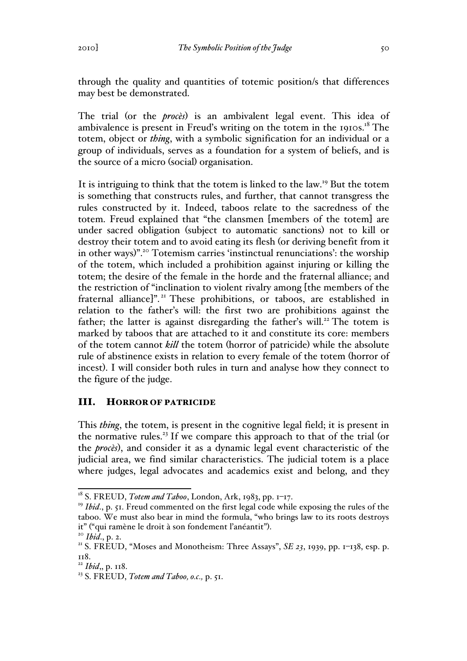through the quality and quantities of totemic position/s that differences may best be demonstrated.

The trial (or the *procès*) is an ambivalent legal event. This idea of ambivalence is present in Freud's writing on the totem in the 1910s.<sup>18</sup> The totem, object or *thing*, with a symbolic signification for an individual or a group of individuals, serves as a foundation for a system of beliefs, and is the source of a micro (social) organisation.

It is intriguing to think that the totem is linked to the law.19 But the totem is something that constructs rules, and further, that cannot transgress the rules constructed by it. Indeed, taboos relate to the sacredness of the totem. Freud explained that "the clansmen [members of the totem] are under sacred obligation (subject to automatic sanctions) not to kill or destroy their totem and to avoid eating its flesh (or deriving benefit from it in other ways)".20 Totemism carries 'instinctual renunciations': the worship of the totem, which included a prohibition against injuring or killing the totem; the desire of the female in the horde and the fraternal alliance; and the restriction of "inclination to violent rivalry among [the members of the fraternal alliance]". <sup>21</sup> These prohibitions, or taboos, are established in relation to the father's will: the first two are prohibitions against the father; the latter is against disregarding the father's will.<sup>22</sup> The totem is marked by taboos that are attached to it and constitute its core: members of the totem cannot *kill* the totem (horror of patricide) while the absolute rule of abstinence exists in relation to every female of the totem (horror of incest). I will consider both rules in turn and analyse how they connect to the figure of the judge.

## III. HORROR OF PATRICIDE

This *thing*, the totem, is present in the cognitive legal field; it is present in the normative rules.<sup>23</sup> If we compare this approach to that of the trial (or the *procès*), and consider it as a dynamic legal event characteristic of the judicial area, we find similar characteristics. The judicial totem is a place where judges, legal advocates and academics exist and belong, and they

<sup>&</sup>lt;sup>18</sup> S. FREUD, *Totem and Taboo*, London, Ark, 1983, pp. 1-17.

<sup>&</sup>lt;sup>19</sup> *Ibid.*, p. 51. Freud commented on the first legal code while exposing the rules of the taboo. We must also bear in mind the formula, "who brings law to its roots destroys it" ("qui ramène le droit à son fondement l'anéantit").<br><sup>20</sup> *Ibid*., p. 2.<br><sup>21</sup> S. FREUD, "Moses and Monotheism: Three Assays", *SE 23*, 1939, pp. 1–138, esp. p.

<sup>118.</sup> 

<sup>22</sup> *Ibid*,, p. 118.

<sup>23</sup> S. FREUD, *Totem and Taboo, o.c.,* p. 51.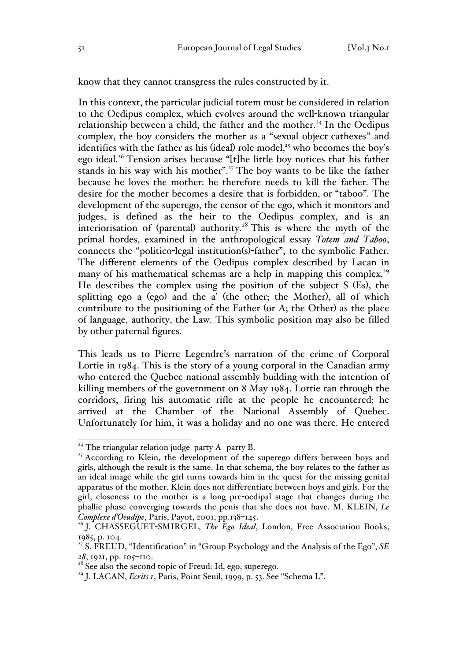know that they cannot transgress the rules constructed by it.

In this context, the particular judicial totem must be considered in relation to the Oedipus complex, which evolves around the well-known triangular relationship between a child, the father and the mother.<sup>24</sup> In the Oedipus complex, the boy considers the mother as a "sexual object-cathexes" and identifies with the father as his (ideal) role model,<sup>25</sup> who becomes the boy's ego ideal.<sup>26</sup> Tension arises because "[t]he little boy notices that his father stands in his way with his mother".<sup>27</sup> The boy wants to be like the father because he loves the mother: he therefore needs to kill the father. The desire for the mother becomes a desire that is forbidden, or "taboo". The development of the superego, the censor of the ego, which it monitors and judges, is defined as the heir to the Oedipus complex, and is an interiorisation of (parental) authority.<sup>28</sup> This is where the myth of the primal hordes, examined in the anthropological essay *Totem and Taboo*, connects the "politico-legal institution(s)-father", to the symbolic Father. The different elements of the Oedipus complex described by Lacan in many of his mathematical schemas are a help in mapping this complex.<sup>29</sup> He describes the complex using the position of the subject S (Es), the splitting ego a (ego) and the a' (the other; the Mother), all of which contribute to the positioning of the Father (or A; the Other) as the place of language, authority, the Law. This symbolic position may also be filled by other paternal figures.

This leads us to Pierre Legendre's narration of the crime of Corporal Lortie in 1984. This is the story of a young corporal in the Canadian army who entered the Quebec national assembly building with the intention of killing members of the government on 8 May 1984. Lortie ran through the corridors, firing his automatic rifle at the people he encountered; he arrived at the Chamber of the National Assembly of Quebec. Unfortunately for him, it was a holiday and no one was there. He entered

<sup>&</sup>lt;sup>24</sup> The triangular relation judge-party A -party B.

<sup>&</sup>lt;sup>25</sup> According to Klein, the development of the superego differs between boys and girls, although the result is the same. In that schema, the boy relates to the father as an ideal image while the girl turns towards him in the quest for the missing genital apparatus of the mother. Klein does not differentiate between boys and girls. For the girl, closeness to the mother is a long pre-oedipal stage that changes during the phallic phase converging towards the penis that she does not have. M. KLEIN, *Le Complexe d'Oeudipe*, Paris, Payot, 2001, pp.138–145.

<sup>&</sup>lt;sup>26</sup> J. CHASSEGUET-SMIRGEL, *The Ego Ideal*, London, Free Association Books, 1985, p. 104.

<sup>27</sup> S. FREUD, "Identification" in "Group Psychology and the Analysis of the Ego", *SE 28*, 1921, pp. 105–110.

<sup>&</sup>lt;sup>28</sup> See also the second topic of Freud: Id, ego, superego.

<sup>29</sup> J. LACAN, *Ecrits 1*, Paris, Point Seuil, 1999, p. 53. See "Schema L".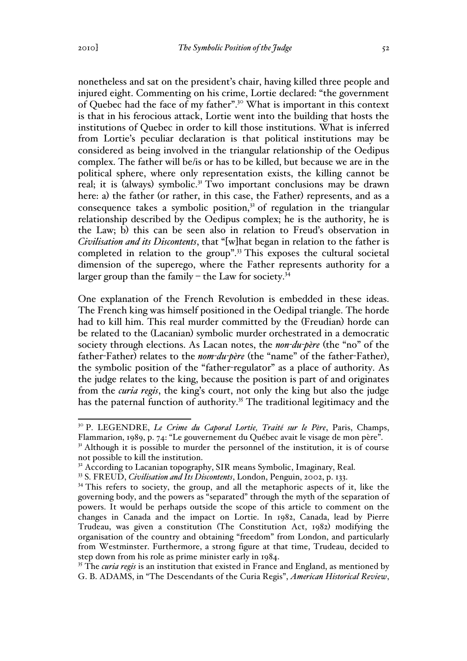nonetheless and sat on the president's chair, having killed three people and injured eight. Commenting on his crime, Lortie declared: "the government of Quebec had the face of my father".30 What is important in this context is that in his ferocious attack, Lortie went into the building that hosts the institutions of Quebec in order to kill those institutions. What is inferred from Lortie's peculiar declaration is that political institutions may be considered as being involved in the triangular relationship of the Oedipus complex. The father will be/is or has to be killed, but because we are in the political sphere, where only representation exists, the killing cannot be real; it is (always) symbolic.<sup>31</sup> Two important conclusions may be drawn here: a) the father (or rather, in this case, the Father) represents, and as a consequence takes a symbolic position,<sup>32</sup> of regulation in the triangular relationship described by the Oedipus complex; he is the authority, he is the Law; b) this can be seen also in relation to Freud's observation in *Civilisation and its Discontents*, that "[w]hat began in relation to the father is completed in relation to the group".<sup>33</sup> This exposes the cultural societal dimension of the superego, where the Father represents authority for a larger group than the family – the Law for society. $34$ 

One explanation of the French Revolution is embedded in these ideas. The French king was himself positioned in the Oedipal triangle. The horde had to kill him. This real murder committed by the (Freudian) horde can be related to the (Lacanian) symbolic murder orchestrated in a democratic society through elections. As Lacan notes, the *non-du-père* (the "no" of the father-Father) relates to the *nom-du-père* (the "name" of the father-Father), the symbolic position of the "father-regulator" as a place of authority. As the judge relates to the king, because the position is part of and originates from the *curia regis*, the king's court, not only the king but also the judge has the paternal function of authority.<sup>35</sup> The traditional legitimacy and the

<sup>35</sup> The *curia regis* is an institution that existed in France and England, as mentioned by G. B. ADAMS, in "The Descendants of the Curia Regis", *American Historical Review*,

 <sup>30</sup> P. LEGENDRE, *Le Crime du Caporal Lortie, Traité sur le Père*, Paris, Champs, Flammarion, 1989, p. 74: "Le gouvernement du Québec avait le visage de mon père".

 $3<sup>T</sup>$  Although it is possible to murder the personnel of the institution, it is of course not possible to kill the institution.

<sup>&</sup>lt;sup>32</sup> According to Lacanian topography, SIR means Symbolic, Imaginary, Real.

<sup>33</sup> S. FREUD, *Civilisation and Its Discontents*, London, Penguin, 2002, p. 133.

<sup>&</sup>lt;sup>34</sup> This refers to society, the group, and all the metaphoric aspects of it, like the governing body, and the powers as "separated" through the myth of the separation of powers. It would be perhaps outside the scope of this article to comment on the changes in Canada and the impact on Lortie. In 1982, Canada, lead by Pierre Trudeau, was given a constitution (The Constitution Act, 1982) modifying the organisation of the country and obtaining "freedom" from London, and particularly from Westminster. Furthermore, a strong figure at that time, Trudeau, decided to step down from his role as prime minister early in 1984.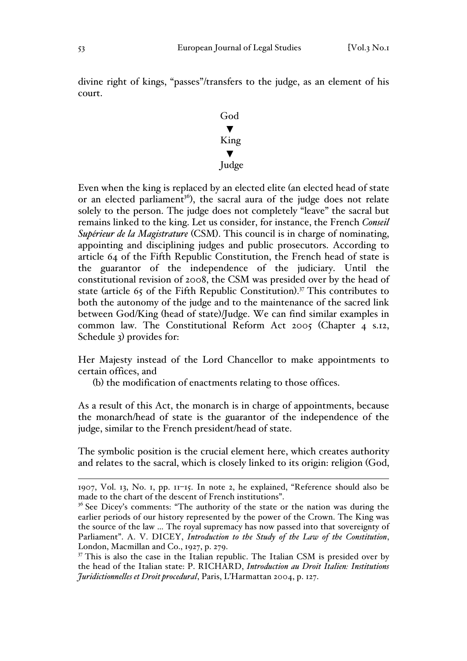divine right of kings, "passes"/transfers to the judge, as an element of his court.



Even when the king is replaced by an elected elite (an elected head of state or an elected parliament<sup>36</sup>), the sacral aura of the judge does not relate solely to the person. The judge does not completely "leave" the sacral but remains linked to the king. Let us consider, for instance, the French *Conseil Supérieur de la Magistrature* (CSM). This council is in charge of nominating, appointing and disciplining judges and public prosecutors. According to article 64 of the Fifth Republic Constitution, the French head of state is the guarantor of the independence of the judiciary. Until the constitutional revision of 2008, the CSM was presided over by the head of state (article 65 of the Fifth Republic Constitution). <sup>37</sup> This contributes to both the autonomy of the judge and to the maintenance of the sacred link between God/King (head of state)/Judge. We can find similar examples in common law. The Constitutional Reform Act 2005 (Chapter 4 s.12, Schedule 3) provides for:

Her Majesty instead of the Lord Chancellor to make appointments to certain offices, and

(b) the modification of enactments relating to those offices.

As a result of this Act, the monarch is in charge of appointments, because the monarch/head of state is the guarantor of the independence of the judge, similar to the French president/head of state.

The symbolic position is the crucial element here, which creates authority and relates to the sacral, which is closely linked to its origin: religion (God,

 <sup>1907,</sup> Vol. 13, No. 1, pp. 11–15. In note 2, he explained, "Reference should also be made to the chart of the descent of French institutions".

 $36$  See Dicey's comments: "The authority of the state or the nation was during the earlier periods of our history represented by the power of the Crown. The King was the source of the law … The royal supremacy has now passed into that sovereignty of Parliament". A. V. DICEY, *Introduction to the Study of the Law of the Constitution*, London, Macmillan and Co., 1927, p. 279.

 $37$  This is also the case in the Italian republic. The Italian CSM is presided over by the head of the Italian state: P. RICHARD, *Introduction au Droit Italien: Institutions Juridictionnelles et Droit procedural*, Paris, L'Harmattan 2004, p. 127.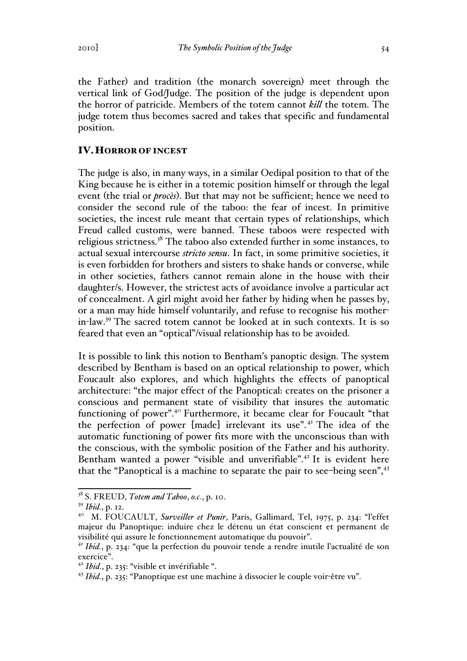the Father) and tradition (the monarch sovereign) meet through the vertical link of God/Judge. The position of the judge is dependent upon the horror of patricide. Members of the totem cannot *kill* the totem. The judge totem thus becomes sacred and takes that specific and fundamental position.

## IV.HORROR OF INCEST

The judge is also, in many ways, in a similar Oedipal position to that of the King because he is either in a totemic position himself or through the legal event (the trial or *procès*). But that may not be sufficient; hence we need to consider the second rule of the taboo: the fear of incest. In primitive societies, the incest rule meant that certain types of relationships, which Freud called customs, were banned. These taboos were respected with religious strictness.<sup>38</sup> The taboo also extended further in some instances, to actual sexual intercourse *stricto sensu*. In fact, in some primitive societies, it is even forbidden for brothers and sisters to shake hands or converse, while in other societies, fathers cannot remain alone in the house with their daughter/s. However, the strictest acts of avoidance involve a particular act of concealment. A girl might avoid her father by hiding when he passes by, or a man may hide himself voluntarily, and refuse to recognise his motherin-law.39 The sacred totem cannot be looked at in such contexts. It is so feared that even an "optical"/visual relationship has to be avoided.

It is possible to link this notion to Bentham's panoptic design. The system described by Bentham is based on an optical relationship to power, which Foucault also explores, and which highlights the effects of panoptical architecture: "the major effect of the Panoptical: creates on the prisoner a conscious and permanent state of visibility that insures the automatic functioning of power".<sup>40</sup> Furthermore, it became clear for Foucault "that the perfection of power [made] irrelevant its use". <sup>41</sup> The idea of the automatic functioning of power fits more with the unconscious than with the conscious, with the symbolic position of the Father and his authority. Bentham wanted a power "visible and unverifiable".<sup>42</sup> It is evident here that the "Panoptical is a machine to separate the pair to see-being seen",<sup>43</sup>

 <sup>38</sup> S. FREUD, *Totem and Taboo*, *o.c.*, p. 10.

<sup>39</sup> *Ibid.*, p. 12.

<sup>&</sup>lt;sup>40</sup> M. FOUCAULT, *Surveiller et Punir*, Paris, Gallimard, Tel, 1975, p. 234: "l'effet majeur du Panoptique: induire chez le détenu un état conscient et permanent de visibilité qui assure le fonctionnement automatique du pouvoir".

<sup>41</sup> *Ibid.*, p. 234: "que la perfection du pouvoir tende a rendre inutile l'actualité de son exercice".

<sup>42</sup> *Ibid.*, p. 235: "visible et invérifiable ".

<sup>43</sup> *Ibid.*, p. 235: "Panoptique est une machine à dissocier le couple voir-être vu".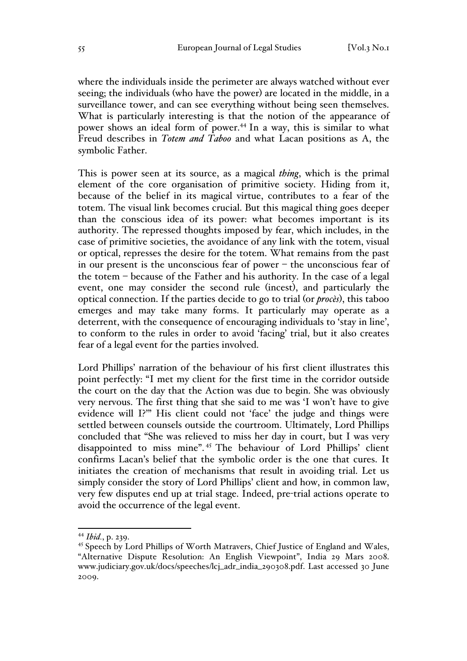where the individuals inside the perimeter are always watched without ever seeing; the individuals (who have the power) are located in the middle, in a surveillance tower, and can see everything without being seen themselves. What is particularly interesting is that the notion of the appearance of power shows an ideal form of power.44 In a way, this is similar to what Freud describes in *Totem and Taboo* and what Lacan positions as A, the symbolic Father.

This is power seen at its source, as a magical *thing*, which is the primal element of the core organisation of primitive society. Hiding from it, because of the belief in its magical virtue, contributes to a fear of the totem. The visual link becomes crucial. But this magical thing goes deeper than the conscious idea of its power: what becomes important is its authority. The repressed thoughts imposed by fear, which includes, in the case of primitive societies, the avoidance of any link with the totem, visual or optical, represses the desire for the totem. What remains from the past in our present is the unconscious fear of power – the unconscious fear of the totem – because of the Father and his authority. In the case of a legal event, one may consider the second rule (incest), and particularly the optical connection. If the parties decide to go to trial (or *procès*), this taboo emerges and may take many forms. It particularly may operate as a deterrent, with the consequence of encouraging individuals to 'stay in line', to conform to the rules in order to avoid 'facing' trial, but it also creates fear of a legal event for the parties involved.

Lord Phillips' narration of the behaviour of his first client illustrates this point perfectly: "I met my client for the first time in the corridor outside the court on the day that the Action was due to begin. She was obviously very nervous. The first thing that she said to me was 'I won't have to give evidence will I?'" His client could not 'face' the judge and things were settled between counsels outside the courtroom. Ultimately, Lord Phillips concluded that "She was relieved to miss her day in court, but I was very disappointed to miss mine". <sup>45</sup> The behaviour of Lord Phillips' client confirms Lacan's belief that the symbolic order is the one that cures. It initiates the creation of mechanisms that result in avoiding trial. Let us simply consider the story of Lord Phillips' client and how, in common law, very few disputes end up at trial stage. Indeed, pre-trial actions operate to avoid the occurrence of the legal event.

 <sup>44</sup> *Ibid.*, p. 239.

<sup>&</sup>lt;sup>45</sup> Speech by Lord Phillips of Worth Matravers, Chief Justice of England and Wales, "Alternative Dispute Resolution: An English Viewpoint", India 29 Mars 2008. www.judiciary.gov.uk/docs/speeches/lcj\_adr\_india\_290308.pdf. Last accessed 30 June 2009.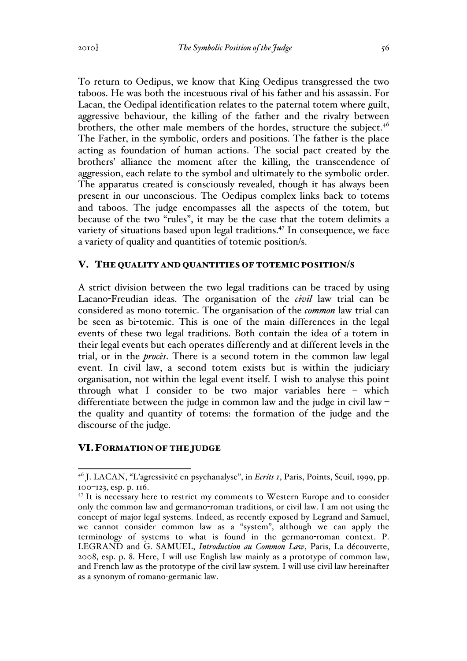To return to Oedipus, we know that King Oedipus transgressed the two taboos. He was both the incestuous rival of his father and his assassin. For Lacan, the Oedipal identification relates to the paternal totem where guilt, aggressive behaviour, the killing of the father and the rivalry between brothers, the other male members of the hordes, structure the subject. $4^6$ The Father, in the symbolic, orders and positions. The father is the place acting as foundation of human actions. The social pact created by the brothers' alliance the moment after the killing, the transcendence of aggression, each relate to the symbol and ultimately to the symbolic order. The apparatus created is consciously revealed, though it has always been present in our unconscious. The Oedipus complex links back to totems and taboos. The judge encompasses all the aspects of the totem, but because of the two "rules", it may be the case that the totem delimits a variety of situations based upon legal traditions.<sup>47</sup> In consequence, we face a variety of quality and quantities of totemic position/s.

## V. THE QUALITY AND QUANTITIES OF TOTEMIC POSITION/S

A strict division between the two legal traditions can be traced by using Lacano-Freudian ideas. The organisation of the *civil* law trial can be considered as mono-totemic. The organisation of the *common* law trial can be seen as bi-totemic. This is one of the main differences in the legal events of these two legal traditions. Both contain the idea of a totem in their legal events but each operates differently and at different levels in the trial, or in the *procès*. There is a second totem in the common law legal event. In civil law, a second totem exists but is within the judiciary organisation, not within the legal event itself. I wish to analyse this point through what I consider to be two major variables here – which differentiate between the judge in common law and the judge in civil law – the quality and quantity of totems: the formation of the judge and the discourse of the judge.

## VI.FORMATION OF THE JUDGE

 <sup>46</sup> J. LACAN, "L'agressivité en psychanalyse", in *Ecrits 1*, Paris, Points, Seuil, 1999, pp. 100–123, esp. p. 116.

 $47$  It is necessary here to restrict my comments to Western Europe and to consider only the common law and germano-roman traditions, or civil law. I am not using the concept of major legal systems. Indeed, as recently exposed by Legrand and Samuel, we cannot consider common law as a "system", although we can apply the terminology of systems to what is found in the germano-roman context. P. LEGRAND and G. SAMUEL, *Introduction au Common Law*, Paris, La découverte, 2008, esp. p. 8. Here, I will use English law mainly as a prototype of common law, and French law as the prototype of the civil law system. I will use civil law hereinafter as a synonym of romano-germanic law.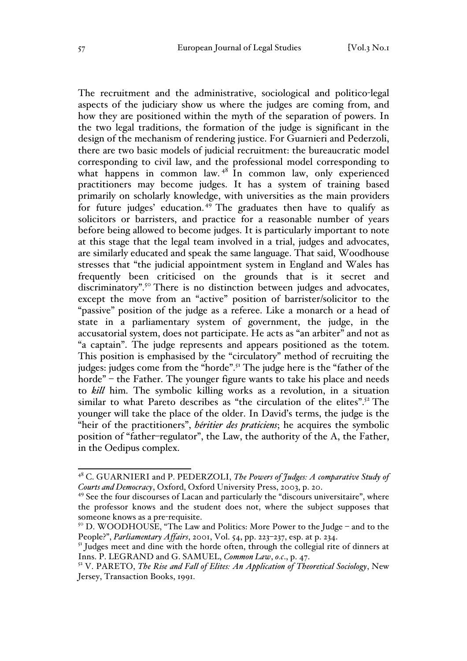The recruitment and the administrative, sociological and politico-legal aspects of the judiciary show us where the judges are coming from, and how they are positioned within the myth of the separation of powers. In the two legal traditions, the formation of the judge is significant in the design of the mechanism of rendering justice. For Guarnieri and Pederzoli, there are two basic models of judicial recruitment: the bureaucratic model corresponding to civil law, and the professional model corresponding to what happens in common law.<sup>48</sup> In common law, only experienced practitioners may become judges. It has a system of training based primarily on scholarly knowledge, with universities as the main providers for future judges' education. <sup>49</sup> The graduates then have to qualify as solicitors or barristers, and practice for a reasonable number of years before being allowed to become judges. It is particularly important to note at this stage that the legal team involved in a trial, judges and advocates, are similarly educated and speak the same language. That said, Woodhouse stresses that "the judicial appointment system in England and Wales has frequently been criticised on the grounds that is it secret and discriminatory".<sup>50</sup> There is no distinction between judges and advocates, except the move from an "active" position of barrister/solicitor to the "passive" position of the judge as a referee. Like a monarch or a head of state in a parliamentary system of government, the judge, in the accusatorial system, does not participate. He acts as "an arbiter" and not as "a captain". The judge represents and appears positioned as the totem. This position is emphasised by the "circulatory" method of recruiting the judges: judges come from the "horde".<sup>51</sup> The judge here is the "father of the horde" – the Father. The younger figure wants to take his place and needs to *kill* him. The symbolic killing works as a revolution, in a situation similar to what Pareto describes as "the circulation of the elites".<sup>52</sup> The younger will take the place of the older. In David's terms, the judge is the "heir of the practitioners", *héritier des praticiens*; he acquires the symbolic position of "father–regulator", the Law, the authority of the A, the Father, in the Oedipus complex.

 <sup>48</sup> C. GUARNIERI and P. PEDERZOLI, *The Powers of Judges: A comparative Study of Courts and Democracy*, Oxford, Oxford University Press, 2003, p. 20.

<sup>&</sup>lt;sup>49</sup> See the four discourses of Lacan and particularly the "discours universitaire", where the professor knows and the student does not, where the subject supposes that someone knows as a pre-requisite.

<sup>50</sup> D. WOODHOUSE, "The Law and Politics: More Power to the Judge – and to the People?", *Parliamentary Affairs*, 2001, Vol. 54, pp. 223–237, esp. at p. 234.

 $5<sup>T</sup>$  Judges meet and dine with the horde often, through the collegial rite of dinners at Inns. P. LEGRAND and G. SAMUEL, *Common Law*, *o.c*., p. 47.

<sup>52</sup> V. PARETO, *The Rise and Fall of Elites: An Application of Theoretical Sociology*, New Jersey, Transaction Books, 1991.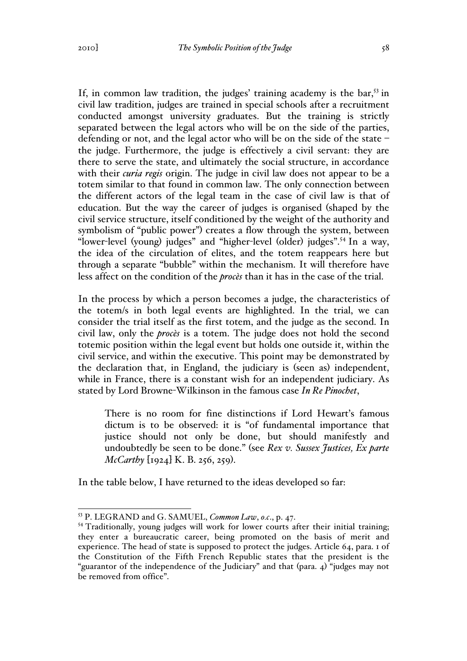If, in common law tradition, the judges' training academy is the bar,  $53$  in civil law tradition, judges are trained in special schools after a recruitment conducted amongst university graduates. But the training is strictly separated between the legal actors who will be on the side of the parties, defending or not, and the legal actor who will be on the side of the state – the judge. Furthermore, the judge is effectively a civil servant: they are there to serve the state, and ultimately the social structure, in accordance with their *curia regis* origin. The judge in civil law does not appear to be a totem similar to that found in common law. The only connection between the different actors of the legal team in the case of civil law is that of education. But the way the career of judges is organised (shaped by the civil service structure, itself conditioned by the weight of the authority and symbolism of "public power") creates a flow through the system, between "lower-level (young) judges" and "higher-level (older) judges".<sup>54</sup> In a way, the idea of the circulation of elites, and the totem reappears here but through a separate "bubble" within the mechanism. It will therefore have less affect on the condition of the *procès* than it has in the case of the trial.

In the process by which a person becomes a judge, the characteristics of the totem/s in both legal events are highlighted. In the trial, we can consider the trial itself as the first totem, and the judge as the second. In civil law, only the *procès* is a totem. The judge does not hold the second totemic position within the legal event but holds one outside it, within the civil service, and within the executive. This point may be demonstrated by the declaration that, in England, the judiciary is (seen as) independent, while in France, there is a constant wish for an independent judiciary. As stated by Lord Browne-Wilkinson in the famous case *In Re Pinochet*,

There is no room for fine distinctions if Lord Hewart's famous dictum is to be observed: it is "of fundamental importance that justice should not only be done, but should manifestly and undoubtedly be seen to be done." (see *Rex v. Sussex Justices, Ex parte McCarthy* [1924] K. B. 256, 259).

In the table below, I have returned to the ideas developed so far:

 <sup>53</sup> P. LEGRAND and G. SAMUEL, *Common Law*, *o.c*., p. 47.

<sup>&</sup>lt;sup>54</sup> Traditionally, young judges will work for lower courts after their initial training; they enter a bureaucratic career, being promoted on the basis of merit and experience. The head of state is supposed to protect the judges. Article 64, para. 1 of the Constitution of the Fifth French Republic states that the president is the "guarantor of the independence of the Judiciary" and that (para. 4) "judges may not be removed from office".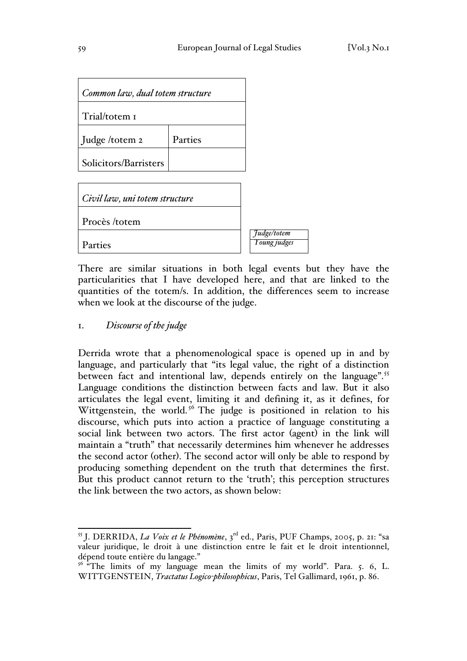| Common law, dual totem structure |         |  |  |  |
|----------------------------------|---------|--|--|--|
| Trial/totem I                    |         |  |  |  |
| Judge /totem 2                   | Parties |  |  |  |
| Solicitors/Barristers            |         |  |  |  |

| Civil law, uni totem structure |                                    |
|--------------------------------|------------------------------------|
| Procès /totem                  |                                    |
| Parties                        | Judge/totem<br><i>Young judges</i> |

There are similar situations in both legal events but they have the particularities that I have developed here, and that are linked to the quantities of the totem/s. In addition, the differences seem to increase when we look at the discourse of the judge.

### 1. *Discourse of the judge*

Derrida wrote that a phenomenological space is opened up in and by language, and particularly that "its legal value, the right of a distinction between fact and intentional law, depends entirely on the language".<sup>55</sup> Language conditions the distinction between facts and law. But it also articulates the legal event, limiting it and defining it, as it defines, for Wittgenstein, the world.<sup>56</sup> The judge is positioned in relation to his discourse, which puts into action a practice of language constituting a social link between two actors. The first actor (agent) in the link will maintain a "truth" that necessarily determines him whenever he addresses the second actor (other). The second actor will only be able to respond by producing something dependent on the truth that determines the first. But this product cannot return to the 'truth'; this perception structures the link between the two actors, as shown below:

 <sup>55</sup> J. DERRIDA, *La Voix et le Phénomène*, 3rd ed., Paris, PUF Champs, 2005, p. 21: "sa valeur juridique, le droit à une distinction entre le fait et le droit intentionnel, dépend toute entière du langage."

<sup>&</sup>lt;sup>56 "</sup>The limits of my language mean the limits of my world". Para. 5. 6, L. WITTGENSTEIN, *Tractatus Logico-philosophicus*, Paris, Tel Gallimard, 1961, p. 86.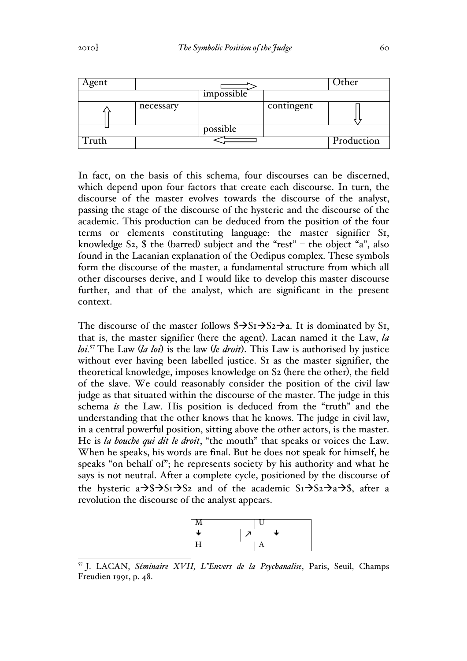| Agent |           |            | )ther      |            |
|-------|-----------|------------|------------|------------|
|       |           | impossible |            |            |
|       | necessary |            | contingent |            |
|       |           | possible   |            |            |
|       |           |            |            | Production |

In fact, on the basis of this schema, four discourses can be discerned, which depend upon four factors that create each discourse. In turn, the discourse of the master evolves towards the discourse of the analyst, passing the stage of the discourse of the hysteric and the discourse of the academic. This production can be deduced from the position of the four terms or elements constituting language: the master signifier S1, knowledge S<sub>2</sub>, \$ the (barred) subject and the "rest" – the object "a", also found in the Lacanian explanation of the Oedipus complex. These symbols form the discourse of the master, a fundamental structure from which all other discourses derive, and I would like to develop this master discourse further, and that of the analyst, which are significant in the present context.

The discourse of the master follows  $\sqrt[5]{51}$   $\rightarrow$  S<sub>2</sub>  $\rightarrow$  a. It is dominated by S<sub>1</sub>, that is, the master signifier (here the agent). Lacan named it the Law, *la loi.*<sup>57</sup> The Law (*la loi*) is the law (*le droit*). This Law is authorised by justice without ever having been labelled justice. SI as the master signifier, the theoretical knowledge, imposes knowledge on S2 (here the other), the field of the slave. We could reasonably consider the position of the civil law judge as that situated within the discourse of the master. The judge in this schema *is* the Law. His position is deduced from the "truth" and the understanding that the other knows that he knows. The judge in civil law, in a central powerful position, sitting above the other actors, is the master. He is *la bouche qui dit le droit*, "the mouth" that speaks or voices the Law. When he speaks, his words are final. But he does not speak for himself, he speaks "on behalf of"; he represents society by his authority and what he says is not neutral. After a complete cycle, positioned by the discourse of the hysteric  $a \rightarrow s \rightarrow S_1 \rightarrow S_2$  and of the academic  $S_1 \rightarrow S_2 \rightarrow a \rightarrow s$ , after a revolution the discourse of the analyst appears.



 57 J. LACAN, *Séminaire XVII, L"Envers de la Psychanalise*, Paris, Seuil, Champs Freudien 1991, p. 48.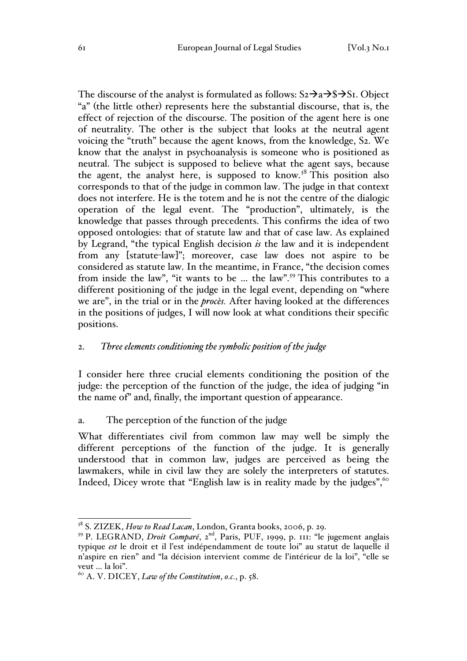The discourse of the analyst is formulated as follows:  $S_2 \rightarrow a \rightarrow S \rightarrow S_1$ . Object "a" (the little other) represents here the substantial discourse, that is, the effect of rejection of the discourse. The position of the agent here is one of neutrality. The other is the subject that looks at the neutral agent voicing the "truth" because the agent knows, from the knowledge, S2. We know that the analyst in psychoanalysis is someone who is positioned as neutral. The subject is supposed to believe what the agent says, because the agent, the analyst here, is supposed to know.<sup>58</sup> This position also corresponds to that of the judge in common law. The judge in that context does not interfere. He is the totem and he is not the centre of the dialogic operation of the legal event. The "production", ultimately, is the knowledge that passes through precedents. This confirms the idea of two opposed ontologies: that of statute law and that of case law. As explained by Legrand, "the typical English decision *is* the law and it is independent from any [statute-law]"; moreover, case law does not aspire to be considered as statute law. In the meantime, in France, "the decision comes from inside the law", "it wants to be … the law".<sup>59</sup> This contributes to a different positioning of the judge in the legal event, depending on "where we are", in the trial or in the *procès.* After having looked at the differences in the positions of judges, I will now look at what conditions their specific positions.

## 2. *Three elements conditioning the symbolic position of the judge*

I consider here three crucial elements conditioning the position of the judge: the perception of the function of the judge, the idea of judging "in the name of" and, finally, the important question of appearance.

#### a. The perception of the function of the judge

What differentiates civil from common law may well be simply the different perceptions of the function of the judge. It is generally understood that in common law, judges are perceived as being the lawmakers, while in civil law they are solely the interpreters of statutes. Indeed, Dicey wrote that "English law is in reality made by the judges", 60

 <sup>58</sup> S. ZIZEK, *How to Read Lacan*, London, Granta books, 2006, p. 29.

<sup>59</sup> P. LEGRAND, *Droit Comparé*, 2nd, Paris, PUF, 1999, p. 111: "le jugement anglais typique *est* le droit et il l'est indépendamment de toute loi" au statut de laquelle il n'aspire en rien" and "la décision intervient comme de l'intérieur de la loi", "elle se veut … la loi".

<sup>60</sup> A. V. DICEY, *Law of the Constitution*, *o.c.*, p. 58.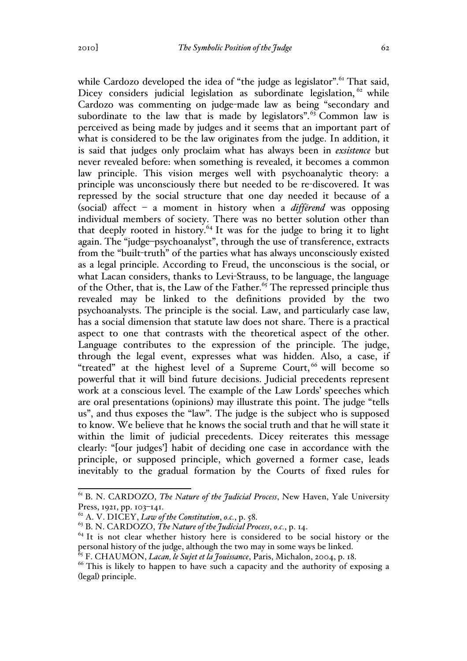while Cardozo developed the idea of "the judge as legislator".<sup>61</sup> That said, Dicey considers judicial legislation as subordinate legislation, <sup>62</sup> while Cardozo was commenting on judge-made law as being "secondary and subordinate to the law that is made by legislators".  $63$  Common law is perceived as being made by judges and it seems that an important part of what is considered to be the law originates from the judge. In addition, it is said that judges only proclaim what has always been in *exsistence* but never revealed before: when something is revealed, it becomes a common law principle. This vision merges well with psychoanalytic theory: a principle was unconsciously there but needed to be re-discovered. It was repressed by the social structure that one day needed it because of a (social) affect – a moment in history when a *différend* was opposing individual members of society. There was no better solution other than that deeply rooted in history.<sup>64</sup> It was for the judge to bring it to light again. The "judge–psychoanalyst", through the use of transference, extracts from the "built-truth" of the parties what has always unconsciously existed as a legal principle. According to Freud, the unconscious is the social, or what Lacan considers, thanks to Levi-Strauss, to be language, the language of the Other, that is, the Law of the Father.<sup>65</sup> The repressed principle thus revealed may be linked to the definitions provided by the two psychoanalysts. The principle is the social. Law, and particularly case law, has a social dimension that statute law does not share. There is a practical aspect to one that contrasts with the theoretical aspect of the other. Language contributes to the expression of the principle. The judge, through the legal event, expresses what was hidden. Also, a case, if "treated" at the highest level of a Supreme Court,  $66$  will become so powerful that it will bind future decisions. Judicial precedents represent work at a conscious level. The example of the Law Lords' speeches which are oral presentations (opinions) may illustrate this point. The judge "tells us", and thus exposes the "law". The judge is the subject who is supposed to know. We believe that he knows the social truth and that he will state it within the limit of judicial precedents. Dicey reiterates this message clearly: "[our judges'] habit of deciding one case in accordance with the principle, or supposed principle, which governed a former case, leads inevitably to the gradual formation by the Courts of fixed rules for

 <sup>61</sup> B. N. CARDOZO, *The Nature of the Judicial Process*, New Haven, Yale University Press, 1921, pp. 103-141.

<sup>62</sup> A. V. DICEY, *Law of the Constitution*, *o.c.*, p. 58.

<sup>&</sup>lt;sup>63</sup> B. N. CARDOZO, *The Nature of the Judicial Process*, *o.c.*, p. 14.  $^{64}$  It is not clear whether history here is considered to be social history or the personal history of the judge, although the two may in some ways be linked.<br><sup>65</sup> F. CHAUMON, *Lacan, le Sujet et la Jouissance*, Paris, Michalon, 2004, p. 18.

<sup>&</sup>lt;sup>66</sup> This is likely to happen to have such a capacity and the authority of exposing a (legal) principle.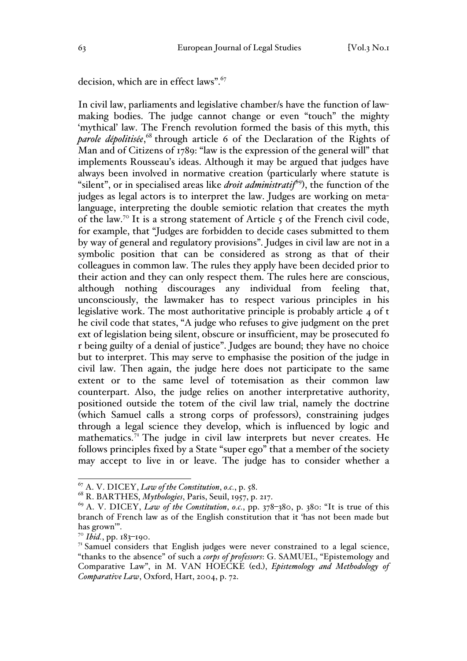decision, which are in effect laws".<sup>67</sup>

In civil law, parliaments and legislative chamber/s have the function of lawmaking bodies. The judge cannot change or even "touch" the mighty 'mythical' law. The French revolution formed the basis of this myth, this parole dépolitisée,<sup>68</sup> through article 6 of the Declaration of the Rights of Man and of Citizens of 1789: "law is the expression of the general will" that implements Rousseau's ideas. Although it may be argued that judges have always been involved in normative creation (particularly where statute is "silent", or in specialised areas like *droit administratif*<sup>69</sup>), the function of the judges as legal actors is to interpret the law. Judges are working on metalanguage, interpreting the double semiotic relation that creates the myth of the law.<sup>70</sup> It is a strong statement of Article  $\zeta$  of the French civil code, for example, that "Judges are forbidden to decide cases submitted to them by way of general and regulatory provisions". Judges in civil law are not in a symbolic position that can be considered as strong as that of their colleagues in common law. The rules they apply have been decided prior to their action and they can only respect them. The rules here are conscious, although nothing discourages any individual from feeling that, unconsciously, the lawmaker has to respect various principles in his legislative work. The most authoritative principle is probably article 4 of t he civil code that states, "A judge who refuses to give judgment on the pret ext of legislation being silent, obscure or insufficient, may be prosecuted fo r being guilty of a denial of justice". Judges are bound; they have no choice but to interpret. This may serve to emphasise the position of the judge in civil law. Then again, the judge here does not participate to the same extent or to the same level of totemisation as their common law counterpart. Also, the judge relies on another interpretative authority, positioned outside the totem of the civil law trial, namely the doctrine (which Samuel calls a strong corps of professors), constraining judges through a legal science they develop, which is influenced by logic and mathematics.<sup>71</sup> The judge in civil law interprets but never creates. He follows principles fixed by a State "super ego" that a member of the society may accept to live in or leave. The judge has to consider whether a

<sup>67</sup> A. V. DICEY, *Law of the Constitution*, *o.c.*, p. 58. <sup>68</sup> R. BARTHES, *Mythologies*, Paris, Seuil, 1957, p. 217.

<sup>69</sup> A. V. DICEY, *Law of the Constitution*, *o.c.*, pp. 378–380, p. 380: "It is true of this branch of French law as of the English constitution that it 'has not been made but has grown'".

<sup>70</sup> *Ibid.*, pp. 183–190.

 $7<sup>T</sup>$  Samuel considers that English judges were never constrained to a legal science, "thanks to the absence" of such a *corps of professors*: G. SAMUEL, "Epistemology and Comparative Law", in M. VAN HOECKE (ed.), *Epistemology and Methodology of Comparative Law*, Oxford, Hart, 2004, p. 72.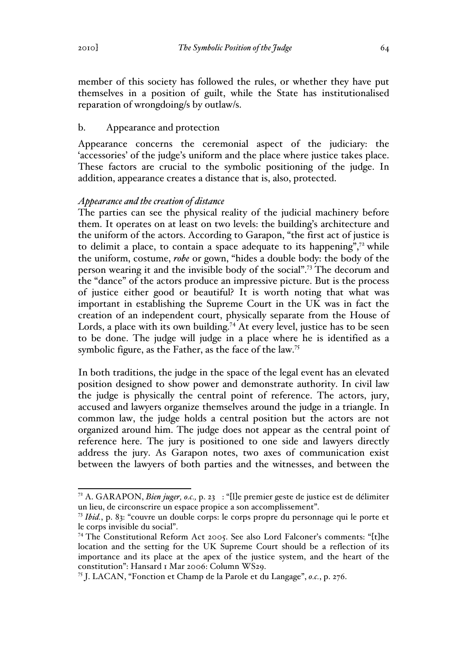member of this society has followed the rules, or whether they have put themselves in a position of guilt, while the State has institutionalised reparation of wrongdoing/s by outlaw/s.

## b. Appearance and protection

Appearance concerns the ceremonial aspect of the judiciary: the 'accessories' of the judge's uniform and the place where justice takes place. These factors are crucial to the symbolic positioning of the judge. In addition, appearance creates a distance that is, also, protected.

## *Appearance and the creation of distance*

The parties can see the physical reality of the judicial machinery before them. It operates on at least on two levels: the building's architecture and the uniform of the actors. According to Garapon, "the first act of justice is to delimit a place, to contain a space adequate to its happening", $7<sup>2</sup>$  while the uniform, costume, *robe* or gown, "hides a double body: the body of the person wearing it and the invisible body of the social".73 The decorum and the "dance" of the actors produce an impressive picture. But is the process of justice either good or beautiful? It is worth noting that what was important in establishing the Supreme Court in the UK was in fact the creation of an independent court, physically separate from the House of Lords, a place with its own building.<sup>74</sup> At every level, justice has to be seen to be done. The judge will judge in a place where he is identified as a symbolic figure, as the Father, as the face of the law.<sup>75</sup>

In both traditions, the judge in the space of the legal event has an elevated position designed to show power and demonstrate authority. In civil law the judge is physically the central point of reference. The actors, jury, accused and lawyers organize themselves around the judge in a triangle. In common law, the judge holds a central position but the actors are not organized around him. The judge does not appear as the central point of reference here. The jury is positioned to one side and lawyers directly address the jury. As Garapon notes, two axes of communication exist between the lawyers of both parties and the witnesses, and between the

 <sup>72</sup> A. GARAPON, *Bien juger, o.c.,* p. 23 : "[l]e premier geste de justice est de délimiter un lieu, de circonscrire un espace propice a son accomplissement".

<sup>73</sup> *Ibid.*, p. 83: "couvre un double corps: le corps propre du personnage qui le porte et le corps invisible du social".

<sup>74</sup> The Constitutional Reform Act 2005. See also Lord Falconer's comments: "[t]he location and the setting for the UK Supreme Court should be a reflection of its importance and its place at the apex of the justice system, and the heart of the constitution": Hansard 1 Mar 2006: Column WS29.

<sup>75</sup> J. LACAN, "Fonction et Champ de la Parole et du Langage", *o.c.*, p. 276.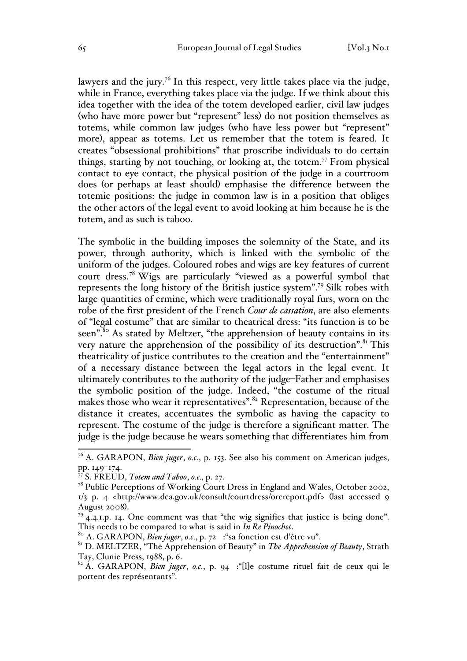lawyers and the jury.<sup>76</sup> In this respect, very little takes place via the judge, while in France, everything takes place via the judge. If we think about this idea together with the idea of the totem developed earlier, civil law judges (who have more power but "represent" less) do not position themselves as totems, while common law judges (who have less power but "represent" more), appear as totems. Let us remember that the totem is feared. It creates "obsessional prohibitions" that proscribe individuals to do certain things, starting by not touching, or looking at, the totem.<sup>77</sup> From physical contact to eye contact, the physical position of the judge in a courtroom does (or perhaps at least should) emphasise the difference between the totemic positions: the judge in common law is in a position that obliges the other actors of the legal event to avoid looking at him because he is the totem, and as such is taboo.

The symbolic in the building imposes the solemnity of the State, and its power, through authority, which is linked with the symbolic of the uniform of the judges. Coloured robes and wigs are key features of current court dress.<sup>78</sup> Wigs are particularly "viewed as a powerful symbol that represents the long history of the British justice system".79 Silk robes with large quantities of ermine, which were traditionally royal furs, worn on the robe of the first president of the French *Cour de cassation*, are also elements of "legal costume" that are similar to theatrical dress: "its function is to be seen".<sup>80</sup> As stated by Meltzer, "the apprehension of beauty contains in its very nature the apprehension of the possibility of its destruction".<sup>81</sup> This theatricality of justice contributes to the creation and the "entertainment" of a necessary distance between the legal actors in the legal event. It ultimately contributes to the authority of the judge–Father and emphasises the symbolic position of the judge. Indeed, "the costume of the ritual makes those who wear it representatives".<sup>82</sup> Representation, because of the distance it creates, accentuates the symbolic as having the capacity to represent. The costume of the judge is therefore a significant matter. The judge is the judge because he wears something that differentiates him from

 <sup>76</sup> A. GARAPON, *Bien juger*, *o.c.*, p. 153. See also his comment on American judges, pp. 149–174.

<sup>77</sup> S. FREUD, *Totem and Taboo*, *o.c.,* p. 27.

<sup>&</sup>lt;sup>78</sup> Public Perceptions of Working Court Dress in England and Wales, October 2002, 1/3 p. 4 <http://www.dca.gov.uk/consult/courtdress/orcreport.pdf> (last accessed 9 August 2008).<br><sup>79</sup> 4.4.1.p. 14. One comment was that "the wig signifies that justice is being done".

This needs to be compared to what is said in *In Re Pinochet*.<br><sup>80</sup> A. GARAPON, *Bien juger*, *o.c.*, p. 72 : "sa fonction est d'être vu".

<sup>81</sup> D. MELTZER, "The Apprehension of Beauty" in *The Apprehension of Beauty*, Strath Tay, Clunie Press, 1988, p. 6.

<sup>82</sup> A. GARAPON, *Bien juger*, *o.c.*, p. 94 :"[l]e costume rituel fait de ceux qui le portent des représentants".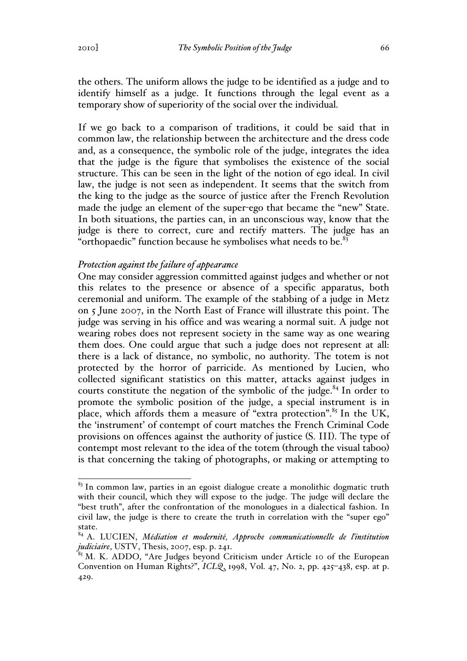the others. The uniform allows the judge to be identified as a judge and to identify himself as a judge. It functions through the legal event as a temporary show of superiority of the social over the individual.

If we go back to a comparison of traditions, it could be said that in common law, the relationship between the architecture and the dress code and, as a consequence, the symbolic role of the judge, integrates the idea that the judge is the figure that symbolises the existence of the social structure. This can be seen in the light of the notion of ego ideal. In civil law, the judge is not seen as independent. It seems that the switch from the king to the judge as the source of justice after the French Revolution made the judge an element of the super-ego that became the "new" State. In both situations, the parties can, in an unconscious way, know that the judge is there to correct, cure and rectify matters. The judge has an "orthopaedic" function because he symbolises what needs to be. $83$ 

## *Protection against the failure of appearance*

One may consider aggression committed against judges and whether or not this relates to the presence or absence of a specific apparatus, both ceremonial and uniform. The example of the stabbing of a judge in Metz on 5 June 2007, in the North East of France will illustrate this point. The judge was serving in his office and was wearing a normal suit. A judge not wearing robes does not represent society in the same way as one wearing them does. One could argue that such a judge does not represent at all: there is a lack of distance, no symbolic, no authority. The totem is not protected by the horror of parricide. As mentioned by Lucien, who collected significant statistics on this matter, attacks against judges in courts constitute the negation of the symbolic of the judge. $84$  In order to promote the symbolic position of the judge, a special instrument is in place, which affords them a measure of "extra protection".<sup>85</sup> In the UK, the 'instrument' of contempt of court matches the French Criminal Code provisions on offences against the authority of justice (S. III). The type of contempt most relevant to the idea of the totem (through the visual taboo) is that concerning the taking of photographs, or making or attempting to

 $83$  In common law, parties in an egoist dialogue create a monolithic dogmatic truth with their council, which they will expose to the judge. The judge will declare the "best truth", after the confrontation of the monologues in a dialectical fashion. In civil law, the judge is there to create the truth in correlation with the "super ego" state.

<sup>84</sup> A. LUCIEN, *Médiation et modernité, Approche communicationnelle de l'institution judiciaire*, USTV, Thesis, 2007, esp. p. 241.

 $85$  M. K. ADDO, "Are Judges beyond Criticism under Article 10 of the European Convention on Human Rights?", *ICLQ*, 1998, Vol. 47, No. 2, pp. 425–438, esp. at p. 429.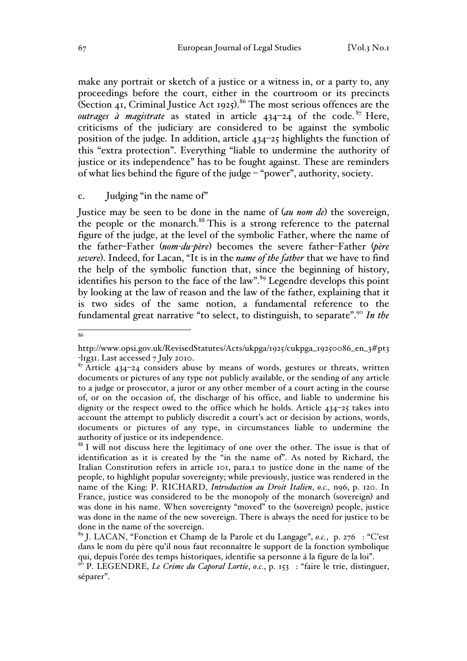make any portrait or sketch of a justice or a witness in, or a party to, any proceedings before the court, either in the courtroom or its precincts (Section 41, Criminal Justice Act 1925).<sup>86</sup> The most serious offences are the *outrages à magistrate* as stated in article  $434-24$  of the code. <sup>87</sup> Here, criticisms of the judiciary are considered to be against the symbolic position of the judge. In addition, article 434–25 highlights the function of this "extra protection". Everything "liable to undermine the authority of justice or its independence" has to be fought against. These are reminders of what lies behind the figure of the judge – "power", authority, society.

# c. Judging "in the name of"

Justice may be seen to be done in the name of (*au nom de*) the sovereign, the people or the monarch.<sup>88</sup> This is a strong reference to the paternal figure of the judge, at the level of the symbolic Father, where the name of the father–Father (*nom-du-père*) becomes the severe father–Father (*père severe*). Indeed, for Lacan, "It is in the *name of the father* that we have to find the help of the symbolic function that, since the beginning of history, identifies his person to the face of the law".<sup>89</sup> Legendre develops this point by looking at the law of reason and the law of the father, explaining that it is two sides of the same notion, a fundamental reference to the fundamental great narrative "to select, to distinguish, to separate".<sup>90</sup> *In the* 

86

http://www.opsi.gov.uk/RevisedStatutes/Acts/ukpga/1925/cukpga\_19250086\_en\_3#pt3<br>-l1g31. Last accessed 7 July 2010.

 $\frac{87}{2}$  Article 434–24 considers abuse by means of words, gestures or threats, written documents or pictures of any type not publicly available, or the sending of any article to a judge or prosecutor, a juror or any other member of a court acting in the course of, or on the occasion of, the discharge of his office, and liable to undermine his dignity or the respect owed to the office which he holds. Article 434–25 takes into account the attempt to publicly discredit a court's act or decision by actions, words, documents or pictures of any type, in circumstances liable to undermine the authority of justice or its independence.

<sup>&</sup>lt;sup>88</sup> I will not discuss here the legitimacy of one over the other. The issue is that of identification as it is created by the "in the name of". As noted by Richard, the Italian Constitution refers in article 101, para.1 to justice done in the name of the people, to highlight popular sovereignty; while previously, justice was rendered in the name of the King: P. RICHARD, *Introduction au Droit Italien*, *o.c.,* n96, p. 120. In France, justice was considered to be the monopoly of the monarch (sovereign) and was done in his name. When sovereignty "moved" to the (sovereign) people, justice was done in the name of the new sovereign. There is always the need for justice to be done in the name of the sovereign.

<sup>89</sup> J. LACAN, "Fonction et Champ de la Parole et du Langage", *o.c.*, p. 276 : "C'est dans le nom du père qu'il nous faut reconnaître le support de la fonction symbolique qui, depuis l'orée des temps historiques, identifie sa personne á la figure de la loi".

<sup>&</sup>lt;sup>90</sup> P. LEGENDRE, *Le Crime du Caporal Lortie*, *o.c.*, p. 153 : "faire le trie, distinguer, séparer".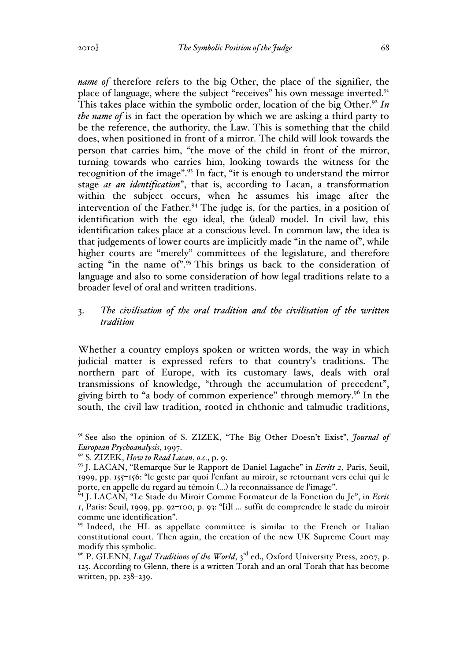*name of* therefore refers to the big Other, the place of the signifier, the place of language, where the subject "receives" his own message inverted.<sup>91</sup> This takes place within the symbolic order, location of the big Other.<sup>92</sup> In *the name of* is in fact the operation by which we are asking a third party to be the reference, the authority, the Law. This is something that the child does, when positioned in front of a mirror. The child will look towards the person that carries him, "the move of the child in front of the mirror, turning towards who carries him, looking towards the witness for the recognition of the image".<sup>93</sup> In fact, "it is enough to understand the mirror stage *as an identification*", that is, according to Lacan, a transformation within the subject occurs, when he assumes his image after the intervention of the Father.<sup>94</sup> The judge is, for the parties, in a position of identification with the ego ideal, the (ideal) model. In civil law, this identification takes place at a conscious level. In common law, the idea is that judgements of lower courts are implicitly made "in the name of", while higher courts are "merely" committees of the legislature, and therefore acting "in the name of".<sup>95</sup> This brings us back to the consideration of language and also to some consideration of how legal traditions relate to a broader level of oral and written traditions.

## 3. *The civilisation of the oral tradition and the civilisation of the written tradition*

Whether a country employs spoken or written words, the way in which judicial matter is expressed refers to that country's traditions. The northern part of Europe, with its customary laws, deals with oral transmissions of knowledge, "through the accumulation of precedent", giving birth to "a body of common experience" through memory.<sup>96</sup> In the south, the civil law tradition, rooted in chthonic and talmudic traditions,

 <sup>91</sup> See also the opinion of S. ZIZEK, "The Big Other Doesn't Exist", *Journal of European Psychoanalysis*, 1997.

<sup>92</sup> S. ZIZEK, *How to Read Lacan*, *o.c.*, p. 9.

<sup>93</sup> J. LACAN, "Remarque Sur le Rapport de Daniel Lagache" in *Ecrits 2*, Paris, Seuil, 1999, pp. 155–156: "le geste par quoi l'enfant au miroir, se retournant vers celui qui le porte, en appelle du regard au témoin (…) la reconnaissance de l'image".

<sup>94</sup> J. LACAN, "Le Stade du Miroir Comme Formateur de la Fonction du Je", in *Ecrit 1*, Paris: Seuil, 1999, pp. 92–100, p. 93: "[i]l … suffit de comprendre le stade du miroir comme une identification".

<sup>&</sup>lt;sup>95</sup> Indeed, the HL as appellate committee is similar to the French or Italian constitutional court. Then again, the creation of the new UK Supreme Court may modify this symbolic.

<sup>&</sup>lt;sup>96</sup> P. GLENN, *Legal Traditions of the World*, 3<sup>rd</sup> ed., Oxford University Press, 2007, p. 125. According to Glenn, there is a written Torah and an oral Torah that has become written, pp. 238–239.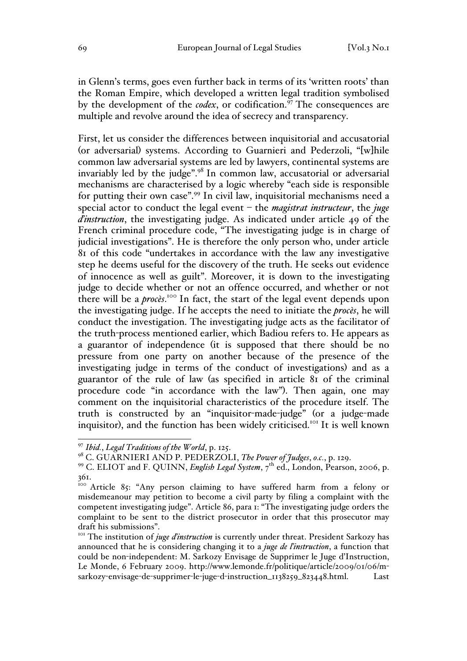in Glenn's terms, goes even further back in terms of its 'written roots' than the Roman Empire, which developed a written legal tradition symbolised by the development of the *codex*, or codification.<sup>97</sup> The consequences are multiple and revolve around the idea of secrecy and transparency.

First, let us consider the differences between inquisitorial and accusatorial (or adversarial) systems. According to Guarnieri and Pederzoli, "[w]hile common law adversarial systems are led by lawyers, continental systems are invariably led by the judge".<sup>98</sup> In common law, accusatorial or adversarial mechanisms are characterised by a logic whereby "each side is responsible for putting their own case".99 In civil law, inquisitorial mechanisms need a special actor to conduct the legal event – the *magistrat instructeur*, the *juge d'instruction*, the investigating judge. As indicated under article 49 of the French criminal procedure code, "The investigating judge is in charge of judicial investigations". He is therefore the only person who, under article 81 of this code "undertakes in accordance with the law any investigative step he deems useful for the discovery of the truth. He seeks out evidence of innocence as well as guilt". Moreover, it is down to the investigating judge to decide whether or not an offence occurred, and whether or not there will be a *procès*. <sup>100</sup> In fact, the start of the legal event depends upon the investigating judge. If he accepts the need to initiate the *procès*, he will conduct the investigation. The investigating judge acts as the facilitator of the truth-process mentioned earlier, which Badiou refers to. He appears as a guarantor of independence (it is supposed that there should be no pressure from one party on another because of the presence of the investigating judge in terms of the conduct of investigations) and as a guarantor of the rule of law (as specified in article 81 of the criminal procedure code "in accordance with the law"). Then again, one may comment on the inquisitorial characteristics of the procedure itself. The truth is constructed by an "inquisitor-made-judge" (or a judge-made inquisitor), and the function has been widely criticised.<sup>101</sup> It is well known

 <sup>97</sup> *Ibid.*, *Legal Traditions of the World*, p. 125.

<sup>98</sup> C. GUARNIERI AND P. PEDERZOLI, *The Power of Judges*, *o.c.*, p. 129.

<sup>&</sup>lt;sup>99</sup> C. ELIOT and F. QUINN, *English Legal System*, 7<sup>th</sup> ed., London, Pearson, 2006, p. 361.

<sup>100</sup> Article 85: "Any person claiming to have suffered harm from a felony or misdemeanour may petition to become a civil party by filing a complaint with the competent investigating judge". Article 86, para 1: "The investigating judge orders the complaint to be sent to the district prosecutor in order that this prosecutor may draft his submissions". 101 The institution of *juge d'instruction* is currently under threat. President Sarkozy has

announced that he is considering changing it to a *juge de l'instruction*, a function that could be non-independent: M. Sarkozy Envisage de Supprimer le Juge d'Instruction, Le Monde, 6 February 2009. http://www.lemonde.fr/politique/article/2009/01/06/msarkozy-envisage-de-supprimer-le-juge-d-instruction\_1138259\_823448.html. Last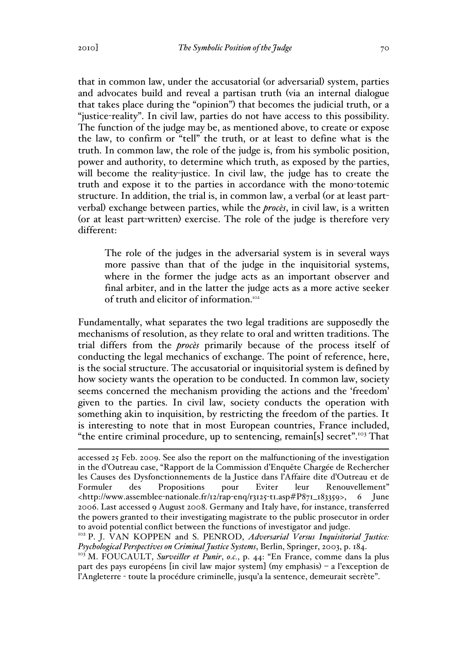that in common law, under the accusatorial (or adversarial) system, parties and advocates build and reveal a partisan truth (via an internal dialogue that takes place during the "opinion") that becomes the judicial truth, or a "justice-reality". In civil law, parties do not have access to this possibility. The function of the judge may be, as mentioned above, to create or expose the law, to confirm or "tell" the truth, or at least to define what is the truth. In common law, the role of the judge is, from his symbolic position, power and authority, to determine which truth, as exposed by the parties, will become the reality-justice. In civil law, the judge has to create the truth and expose it to the parties in accordance with the mono-totemic structure. In addition, the trial is, in common law, a verbal (or at least partverbal) exchange between parties, while the *procès*, in civil law, is a written (or at least part-written) exercise. The role of the judge is therefore very different:

The role of the judges in the adversarial system is in several ways more passive than that of the judge in the inquisitorial systems, where in the former the judge acts as an important observer and final arbiter, and in the latter the judge acts as a more active seeker of truth and elicitor of information.<sup>102</sup>

Fundamentally, what separates the two legal traditions are supposedly the mechanisms of resolution, as they relate to oral and written traditions. The trial differs from the *procès* primarily because of the process itself of conducting the legal mechanics of exchange. The point of reference, here, is the social structure. The accusatorial or inquisitorial system is defined by how society wants the operation to be conducted. In common law, society seems concerned the mechanism providing the actions and the 'freedom' given to the parties. In civil law, society conducts the operation with something akin to inquisition, by restricting the freedom of the parties. It is interesting to note that in most European countries, France included, "the entire criminal procedure, up to sentencing, remain[s] secret".<sup>103</sup> That

<sup>103</sup> M. FOUCAULT, *Surveiller et Punir*, *o.c.*, p. 44: "En France, comme dans la plus part des pays européens [in civil law major system] (my emphasis) – a l'exception de l'Angleterre - toute la procédure criminelle, jusqu'a la sentence, demeurait secrète".

accessed 25 Feb. 2009. See also the report on the malfunctioning of the investigation in the d'Outreau case, "Rapport de la Commission d'Enquête Chargée de Rechercher les Causes des Dysfonctionnements de la Justice dans l'Affaire dite d'Outreau et de Formuler des Propositions pour Eviter leur Renouvellement" <http://www.assemblee-nationale.fr/12/rap-enq/r3125-t1.asp#P871\_183359>, 6 June 2006. Last accessed 9 August 2008. Germany and Italy have, for instance, transferred the powers granted to their investigating magistrate to the public prosecutor in order to avoid potential conflict between the functions of investigator and judge.<br><sup>102</sup> P. J. VAN KOPPEN and S. PENROD, *Adversarial Versus Inquisitorial Justice:* 

*Psychological Perspectives on Criminal Justice Systems*, Berlin, Springer, 2003, p. 184.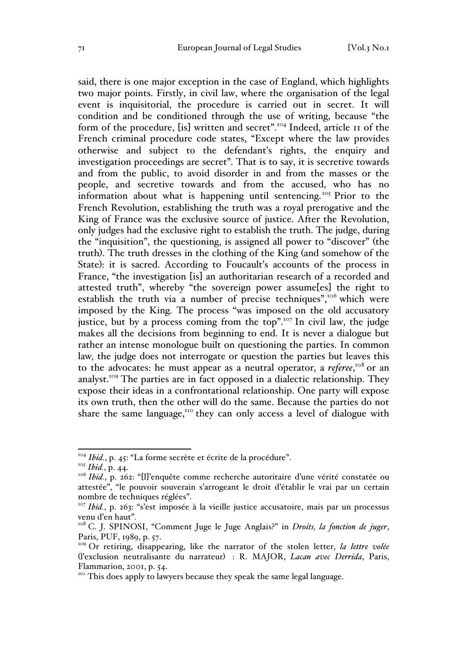said, there is one major exception in the case of England, which highlights two major points. Firstly, in civil law, where the organisation of the legal event is inquisitorial, the procedure is carried out in secret. It will condition and be conditioned through the use of writing, because "the form of the procedure, [is] written and secret".<sup>104</sup> Indeed, article 11 of the French criminal procedure code states, "Except where the law provides otherwise and subject to the defendant's rights, the enquiry and investigation proceedings are secret". That is to say, it is secretive towards and from the public, to avoid disorder in and from the masses or the people, and secretive towards and from the accused, who has no information about what is happening until sentencing.<sup>105</sup> Prior to the French Revolution, establishing the truth was a royal prerogative and the King of France was the exclusive source of justice. After the Revolution, only judges had the exclusive right to establish the truth. The judge, during the "inquisition", the questioning, is assigned all power to "discover" (the truth). The truth dresses in the clothing of the King (and somehow of the State): it is sacred. According to Foucault's accounts of the process in France, "the investigation [is] an authoritarian research of a recorded and attested truth", whereby "the sovereign power assume[es] the right to establish the truth via a number of precise techniques",<sup>106</sup> which were imposed by the King. The process "was imposed on the old accusatory justice, but by a process coming from the top".<sup>107</sup> In civil law, the judge makes all the decisions from beginning to end. It is never a dialogue but rather an intense monologue built on questioning the parties. In common law*,* the judge does not interrogate or question the parties but leaves this to the advocates: he must appear as a neutral operator, a *referee*,<sup>108</sup> or an analyst.109 The parties are in fact opposed in a dialectic relationship. They expose their ideas in a confrontational relationship. One party will expose its own truth, then the other will do the same. Because the parties do not share the same language, $110$  they can only access a level of dialogue with

<sup>&</sup>lt;sup>104</sup> *Ibid.*, p. 45: "La forme secrète et écrite de la procédure".

<sup>105</sup> *Ibid.*, p. 44.

<sup>&</sup>lt;sup>106</sup> *Ibid.*, p. 262: "[l]'enquête comme recherche autoritaire d'une vérité constatée ou attestée", "le pouvoir souverain s'arrogeant le droit d'établir le vrai par un certain nombre de techniques réglées".

<sup>&</sup>lt;sup>107</sup> Ibid., p. 263: "s'est imposée à la vieille justice accusatoire, mais par un processus venu d'en haut".

<sup>&</sup>lt;sup>108</sup> C. J. SPINOSI, "Comment Juge le Juge Anglais?" in *Droits, la fonction de juger*, Paris, PUF, 1989, p. 57.

<sup>&</sup>lt;sup>109</sup> Or retiring, disappearing, like the narrator of the stolen letter, *la lettre volée* (l'exclusion neutralisante du narrateur) : R. MAJOR, *Lacan avec Derrida*, Paris, Flammarion, 2001, p. 54.

<sup>&</sup>lt;sup>110</sup> This does apply to lawyers because they speak the same legal language.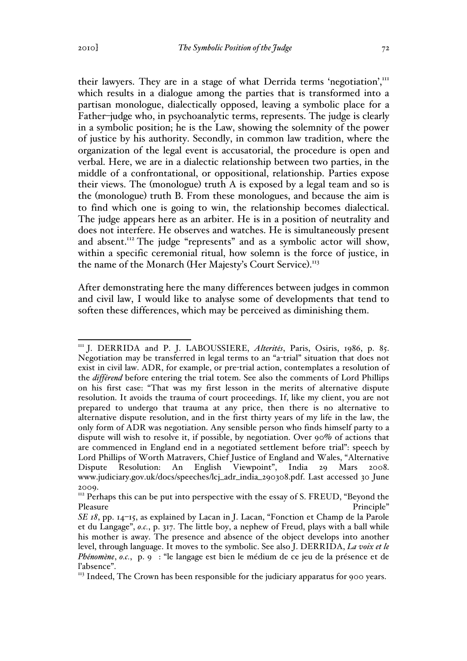their lawyers. They are in a stage of what Derrida terms 'negotiation',<sup>111</sup> which results in a dialogue among the parties that is transformed into a partisan monologue, dialectically opposed, leaving a symbolic place for a Father–judge who, in psychoanalytic terms, represents. The judge is clearly in a symbolic position; he is the Law, showing the solemnity of the power of justice by his authority. Secondly, in common law tradition, where the organization of the legal event is accusatorial, the procedure is open and verbal. Here, we are in a dialectic relationship between two parties, in the middle of a confrontational, or oppositional, relationship. Parties expose their views. The (monologue) truth A is exposed by a legal team and so is the (monologue) truth B. From these monologues, and because the aim is to find which one is going to win, the relationship becomes dialectical. The judge appears here as an arbiter. He is in a position of neutrality and does not interfere. He observes and watches. He is simultaneously present and absent.<sup>112</sup> The judge "represents" and as a symbolic actor will show, within a specific ceremonial ritual, how solemn is the force of justice, in the name of the Monarch (Her Majesty's Court Service).<sup>113</sup>

After demonstrating here the many differences between judges in common and civil law, I would like to analyse some of developments that tend to soften these differences, which may be perceived as diminishing them.

<sup>&</sup>lt;sup>111</sup> J. DERRIDA and P. J. LABOUSSIERE, Alterités, Paris, Osiris, 1986, p. 85. Negotiation may be transferred in legal terms to an "a-trial" situation that does not exist in civil law. ADR, for example, or pre-trial action, contemplates a resolution of the *différend* before entering the trial totem. See also the comments of Lord Phillips on his first case: "That was my first lesson in the merits of alternative dispute resolution. It avoids the trauma of court proceedings. If, like my client, you are not prepared to undergo that trauma at any price, then there is no alternative to alternative dispute resolution, and in the first thirty years of my life in the law, the only form of ADR was negotiation. Any sensible person who finds himself party to a dispute will wish to resolve it, if possible, by negotiation. Over 90% of actions that are commenced in England end in a negotiated settlement before trial": speech by Lord Phillips of Worth Matravers, Chief Justice of England and Wales, "Alternative Dispute Resolution: An English Viewpoint", India 29 Mars 2008. www.judiciary.gov.uk/docs/speeches/lcj\_adr\_india\_290308.pdf. Last accessed 30 June 2009.

<sup>&</sup>lt;sup>112</sup> Perhaps this can be put into perspective with the essay of S. FREUD, "Beyond the Pleasure Principle"

*SE 18*, pp. 14–15, as explained by Lacan in J. Lacan, "Fonction et Champ de la Parole et du Langage", *o.c.*, p. 317. The little boy, a nephew of Freud, plays with a ball while his mother is away. The presence and absence of the object develops into another level, through language. It moves to the symbolic. See also J. DERRIDA, *La voix et le Phénomène*, *o.c.*, p. 9 : "le langage est bien le médium de ce jeu de la présence et de l'absence".

<sup>&</sup>lt;sup>113</sup> Indeed, The Crown has been responsible for the judiciary apparatus for 900 years.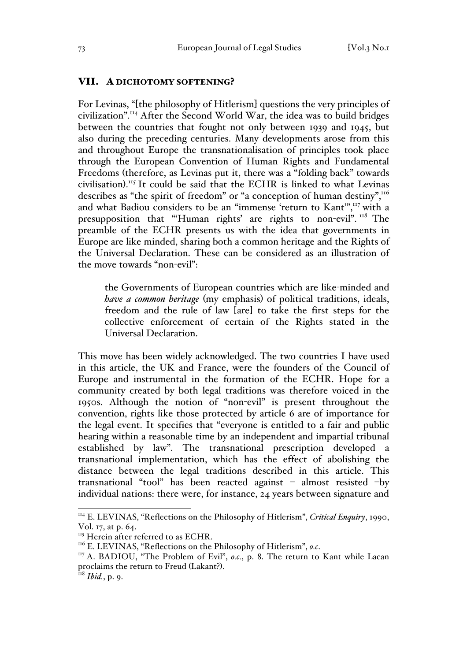### VII. A DICHOTOMY SOFTENING?

For Levinas, "[the philosophy of Hitlerism] questions the very principles of civilization".114 After the Second World War, the idea was to build bridges between the countries that fought not only between 1939 and 1945, but also during the preceding centuries. Many developments arose from this and throughout Europe the transnationalisation of principles took place through the European Convention of Human Rights and Fundamental Freedoms (therefore, as Levinas put it, there was a "folding back" towards civilisation). <sup>115</sup> It could be said that the ECHR is linked to what Levinas describes as "the spirit of freedom" or "a conception of human destiny",<sup>116</sup> and what Badiou considers to be an "immense 'return to Kant",<sup>117</sup> with a presupposition that "'Human rights' are rights to non-evil". <sup>118</sup> The preamble of the ECHR presents us with the idea that governments in Europe are like minded, sharing both a common heritage and the Rights of the Universal Declaration. These can be considered as an illustration of the move towards "non-evil":

the Governments of European countries which are like-minded and *have a common heritage* (my emphasis) of political traditions, ideals, freedom and the rule of law [are] to take the first steps for the collective enforcement of certain of the Rights stated in the Universal Declaration.

This move has been widely acknowledged. The two countries I have used in this article, the UK and France, were the founders of the Council of Europe and instrumental in the formation of the ECHR. Hope for a community created by both legal traditions was therefore voiced in the 1950s. Although the notion of "non-evil" is present throughout the convention, rights like those protected by article 6 are of importance for the legal event. It specifies that "everyone is entitled to a fair and public hearing within a reasonable time by an independent and impartial tribunal established by law". The transnational prescription developed a transnational implementation, which has the effect of abolishing the distance between the legal traditions described in this article. This transnational "tool" has been reacted against – almost resisted –by individual nations: there were, for instance, 24 years between signature and

<sup>&</sup>lt;sup>114</sup> E. LEVINAS, "Reflections on the Philosophy of Hitlerism", *Critical Enquiry*, 1990, Vol. 17, at p. 64.

<sup>&</sup>lt;sup>115</sup> Herein after referred to as ECHR.<br><sup>116</sup> E. LEVINAS, "Reflections on the Philosophy of Hitlerism", *o.c.* 

<sup>&</sup>lt;sup>117</sup> A. BADIOU, "The Problem of Evil", *o.c.*, p. 8. The return to Kant while Lacan proclaims the return to Freud (Lakant?). <sup>118</sup> *Ibid.*, p. 9.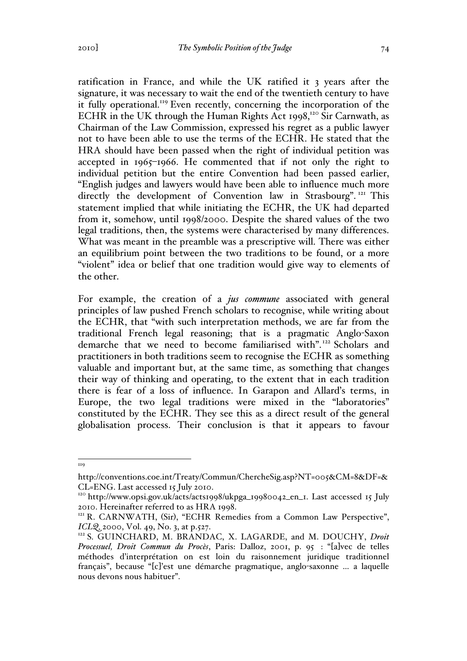ratification in France, and while the UK ratified it 3 years after the signature, it was necessary to wait the end of the twentieth century to have it fully operational.<sup>119</sup> Even recently, concerning the incorporation of the ECHR in the UK through the Human Rights Act 1998,<sup>120</sup> Sir Carnwath, as Chairman of the Law Commission, expressed his regret as a public lawyer not to have been able to use the terms of the ECHR. He stated that the HRA should have been passed when the right of individual petition was accepted in 1965–1966. He commented that if not only the right to individual petition but the entire Convention had been passed earlier, "English judges and lawyers would have been able to influence much more directly the development of Convention law in Strasbourg".<sup>121</sup> This statement implied that while initiating the ECHR, the UK had departed from it, somehow, until 1998/2000. Despite the shared values of the two legal traditions, then, the systems were characterised by many differences. What was meant in the preamble was a prescriptive will. There was either an equilibrium point between the two traditions to be found, or a more "violent" idea or belief that one tradition would give way to elements of the other.

For example, the creation of a *jus commune* associated with general principles of law pushed French scholars to recognise, while writing about the ECHR, that "with such interpretation methods, we are far from the traditional French legal reasoning; that is a pragmatic Anglo-Saxon demarche that we need to become familiarised with".<sup>122</sup> Scholars and practitioners in both traditions seem to recognise the ECHR as something valuable and important but, at the same time, as something that changes their way of thinking and operating, to the extent that in each tradition there is fear of a loss of influence. In Garapon and Allard's terms, in Europe, the two legal traditions were mixed in the "laboratories" constituted by the ECHR. They see this as a direct result of the general globalisation process. Their conclusion is that it appears to favour

119

http://conventions.coe.int/Treaty/Commun/ChercheSig.asp?NT=005&CM=8&DF=& CL=ENG. Last accessed 15 July 2010.

<sup>&</sup>lt;sup>120</sup> http://www.opsi.gov.uk/acts/acts1998/ukpga\_19980042\_en\_1. Last accessed 15 July 2010. Hereinafter referred to as HRA 1998. <sup>121</sup> R. CARNWATH, (Sir), "ECHR Remedies from a Common Law Perspective",

*ICLQ, 2000, Vol. 49, No. 3, at p.527.*<br><sup>122</sup> S. GUINCHARD, M. BRANDAC, X. LAGARDE, and M. DOUCHY, *Droit* 

*Processuel, Droit Commun du Procès*, Paris: Dalloz, 2001, p. 95 : "[a]vec de telles méthodes d'interprétation on est loin du raisonnement juridique traditionnel français", because "[c]'est une démarche pragmatique, anglo-saxonne … a laquelle nous devons nous habituer".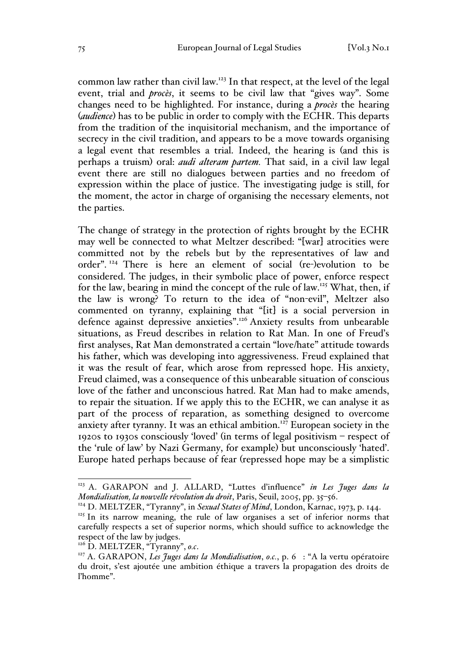common law rather than civil law.123 In that respect, at the level of the legal event, trial and *procès*, it seems to be civil law that "gives way". Some changes need to be highlighted. For instance, during a *procès* the hearing (*audience*) has to be public in order to comply with the ECHR. This departs from the tradition of the inquisitorial mechanism, and the importance of secrecy in the civil tradition, and appears to be a move towards organising a legal event that resembles a trial. Indeed, the hearing is (and this is perhaps a truism) oral: *audi alteram partem.* That said, in a civil law legal event there are still no dialogues between parties and no freedom of expression within the place of justice. The investigating judge is still, for the moment, the actor in charge of organising the necessary elements, not the parties.

The change of strategy in the protection of rights brought by the ECHR may well be connected to what Meltzer described: "[war] atrocities were committed not by the rebels but by the representatives of law and order". <sup>124</sup> There is here an element of social (re-)evolution to be considered. The judges, in their symbolic place of power, enforce respect for the law, bearing in mind the concept of the rule of law.<sup>125</sup> What, then, if the law is wrong? To return to the idea of "non-evil", Meltzer also commented on tyranny, explaining that "[it] is a social perversion in defence against depressive anxieties".<sup>126</sup> Anxiety results from unbearable situations, as Freud describes in relation to Rat Man. In one of Freud's first analyses, Rat Man demonstrated a certain "love/hate" attitude towards his father, which was developing into aggressiveness. Freud explained that it was the result of fear, which arose from repressed hope. His anxiety, Freud claimed, was a consequence of this unbearable situation of conscious love of the father and unconscious hatred. Rat Man had to make amends, to repair the situation. If we apply this to the ECHR, we can analyse it as part of the process of reparation, as something designed to overcome anxiety after tyranny. It was an ethical ambition.<sup>127</sup> European society in the 1920s to 1930s consciously 'loved' (in terms of legal positivism – respect of the 'rule of law' by Nazi Germany, for example) but unconsciously 'hated'. Europe hated perhaps because of fear (repressed hope may be a simplistic

 <sup>123</sup> A. GARAPON and J. ALLARD, "Luttes d'influence" *in Les Juges dans la Mondialisation, la nouvelle révolution du droit*, Paris, Seuil, 2005, pp. 35–56.

<sup>&</sup>lt;sup>124</sup> D. MELTZER, "Tyranny", in *Sexual States of Mind*, London, Karnac, 1973, p. 144.

<sup>&</sup>lt;sup>125</sup> In its narrow meaning, the rule of law organises a set of inferior norms that carefully respects a set of superior norms, which should suffice to acknowledge the respect of the law by judges.<br><sup>126</sup> D. MELTZER, "Tyranny", o.c.

<sup>&</sup>lt;sup>127</sup> A. GARAPON, *Les Juges dans la Mondialisation*, *o.c.*, p. 6 : "A la vertu opératoire du droit, s'est ajoutée une ambition éthique a travers la propagation des droits de l'homme".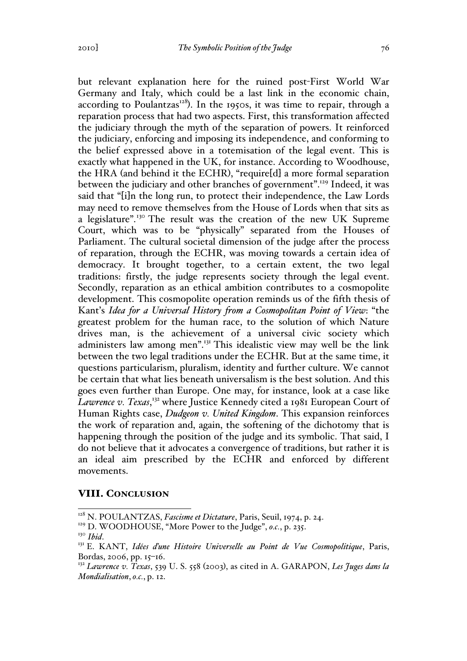but relevant explanation here for the ruined post-First World War Germany and Italy, which could be a last link in the economic chain, according to Poulantzas<sup>128</sup>). In the 1950s, it was time to repair, through a reparation process that had two aspects. First, this transformation affected the judiciary through the myth of the separation of powers. It reinforced the judiciary, enforcing and imposing its independence, and conforming to the belief expressed above in a totemisation of the legal event. This is exactly what happened in the UK, for instance. According to Woodhouse, the HRA (and behind it the ECHR), "require[d] a more formal separation between the judiciary and other branches of government".<sup>129</sup> Indeed, it was said that "[i]n the long run, to protect their independence, the Law Lords may need to remove themselves from the House of Lords when that sits as a legislature".<sup>130</sup> The result was the creation of the new UK Supreme Court, which was to be "physically" separated from the Houses of Parliament. The cultural societal dimension of the judge after the process of reparation, through the ECHR, was moving towards a certain idea of democracy. It brought together, to a certain extent, the two legal traditions: firstly, the judge represents society through the legal event. Secondly, reparation as an ethical ambition contributes to a cosmopolite development. This cosmopolite operation reminds us of the fifth thesis of Kant's *Idea for a Universal History from a Cosmopolitan Point of View*: "the greatest problem for the human race, to the solution of which Nature drives man, is the achievement of a universal civic society which administers law among men".<sup>131</sup> This idealistic view may well be the link between the two legal traditions under the ECHR. But at the same time, it questions particularism, pluralism, identity and further culture. We cannot be certain that what lies beneath universalism is the best solution. And this goes even further than Europe. One may, for instance, look at a case like Lawrence v. Texas,<sup>132</sup> where Justice Kennedy cited a 1981 European Court of Human Rights case, *Dudgeon v. United Kingdom*. This expansion reinforces the work of reparation and, again, the softening of the dichotomy that is happening through the position of the judge and its symbolic. That said, I do not believe that it advocates a convergence of traditions, but rather it is an ideal aim prescribed by the ECHR and enforced by different movements.

#### VIII. CONCLUSION

 <sup>128</sup> N. POULANTZAS, *Fascisme et Dictature*, Paris, Seuil, 1974, p. 24.

<sup>&</sup>lt;sup>129</sup> D. WOODHOUSE, "More Power to the Judge", *o.c.*, p. 235.<br><sup>130</sup> Ibid.

<sup>&</sup>lt;sup>131</sup> E. KANT, *Idées d'une Histoire Universelle au Point de Vue Cosmopolitique*, Paris, Bordas, 2006, pp. 15–16.

<sup>132</sup> *Lawrence v. Texas*, 539 U. S. 558 (2003), as cited in A. GARAPON, *Les Juges dans la Mondialisation*, *o.c.*, p. 12.